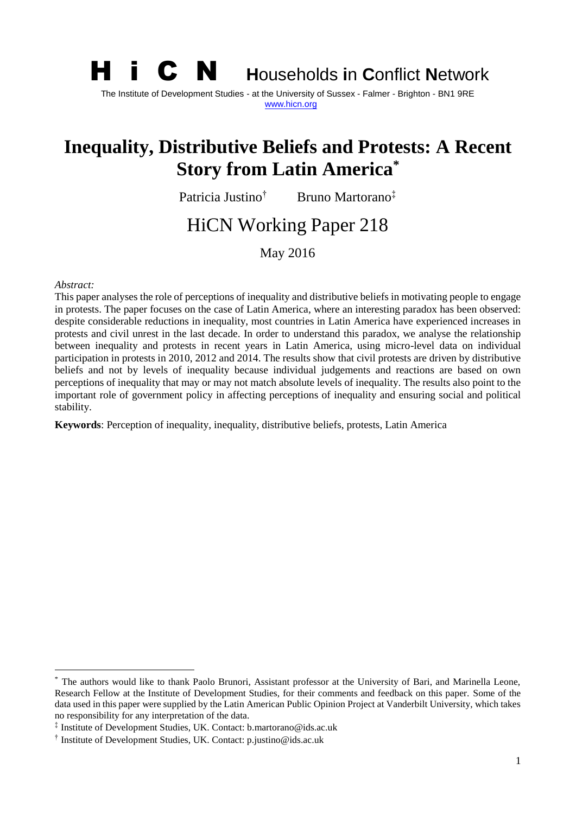

The Institute of Development Studies - at the University of Sussex - Falmer - Brighton - BN1 9RE [www.hicn.org](http://www.hicn.org/)

# **Inequality, Distributive Beliefs and Protests: A Recent Story from Latin America\***

Patricia Justino† Bruno Martorano‡

# HiCN Working Paper 218

May 2016

#### *Abstract:*

**.** 

This paper analyses the role of perceptions of inequality and distributive beliefs in motivating people to engage in protests. The paper focuses on the case of Latin America, where an interesting paradox has been observed: despite considerable reductions in inequality, most countries in Latin America have experienced increases in protests and civil unrest in the last decade. In order to understand this paradox, we analyse the relationship between inequality and protests in recent years in Latin America, using micro-level data on individual participation in protests in 2010, 2012 and 2014. The results show that civil protests are driven by distributive beliefs and not by levels of inequality because individual judgements and reactions are based on own perceptions of inequality that may or may not match absolute levels of inequality. The results also point to the important role of government policy in affecting perceptions of inequality and ensuring social and political stability.

**Keywords**: Perception of inequality, inequality, distributive beliefs, protests, Latin America

The authors would like to thank Paolo Brunori, Assistant professor at the University of Bari, and Marinella Leone, Research Fellow at the Institute of Development Studies, for their comments and feedback on this paper. Some of the data used in this paper were supplied by the Latin American Public Opinion Project at Vanderbilt University, which takes no responsibility for any interpretation of the data.

<sup>‡</sup> Institute of Development Studies, UK. Contact: b.martorano@ids.ac.uk

<sup>†</sup> Institute of Development Studies, UK. Contact: p.justino@ids.ac.uk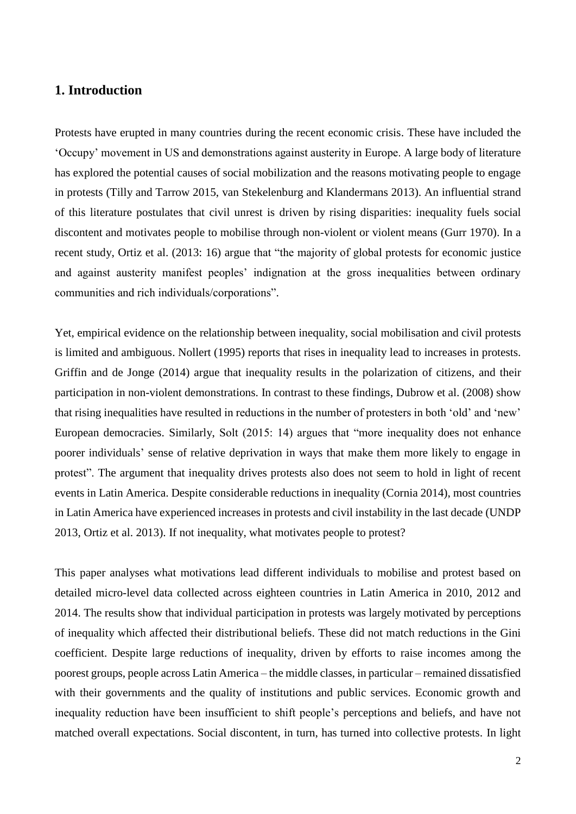# **1. Introduction**

Protests have erupted in many countries during the recent economic crisis. These have included the 'Occupy' movement in US and demonstrations against austerity in Europe. A large body of literature has explored the potential causes of social mobilization and the reasons motivating people to engage in protests (Tilly and Tarrow 2015, van Stekelenburg and Klandermans 2013). An influential strand of this literature postulates that civil unrest is driven by rising disparities: inequality fuels social discontent and motivates people to mobilise through non-violent or violent means (Gurr 1970). In a recent study, Ortiz et al. (2013: 16) argue that "the majority of global protests for economic justice and against austerity manifest peoples' indignation at the gross inequalities between ordinary communities and rich individuals/corporations".

Yet, empirical evidence on the relationship between inequality, social mobilisation and civil protests is limited and ambiguous. Nollert (1995) reports that rises in inequality lead to increases in protests. Griffin and de Jonge (2014) argue that inequality results in the polarization of citizens, and their participation in non-violent demonstrations. In contrast to these findings, Dubrow et al. (2008) show that rising inequalities have resulted in reductions in the number of protesters in both 'old' and 'new' European democracies. Similarly, Solt (2015: 14) argues that "more inequality does not enhance poorer individuals' sense of relative deprivation in ways that make them more likely to engage in protest". The argument that inequality drives protests also does not seem to hold in light of recent events in Latin America. Despite considerable reductions in inequality (Cornia 2014), most countries in Latin America have experienced increases in protests and civil instability in the last decade (UNDP 2013, Ortiz et al. 2013). If not inequality, what motivates people to protest?

This paper analyses what motivations lead different individuals to mobilise and protest based on detailed micro-level data collected across eighteen countries in Latin America in 2010, 2012 and 2014. The results show that individual participation in protests was largely motivated by perceptions of inequality which affected their distributional beliefs. These did not match reductions in the Gini coefficient. Despite large reductions of inequality, driven by efforts to raise incomes among the poorest groups, people across Latin America – the middle classes, in particular – remained dissatisfied with their governments and the quality of institutions and public services. Economic growth and inequality reduction have been insufficient to shift people's perceptions and beliefs, and have not matched overall expectations. Social discontent, in turn, has turned into collective protests. In light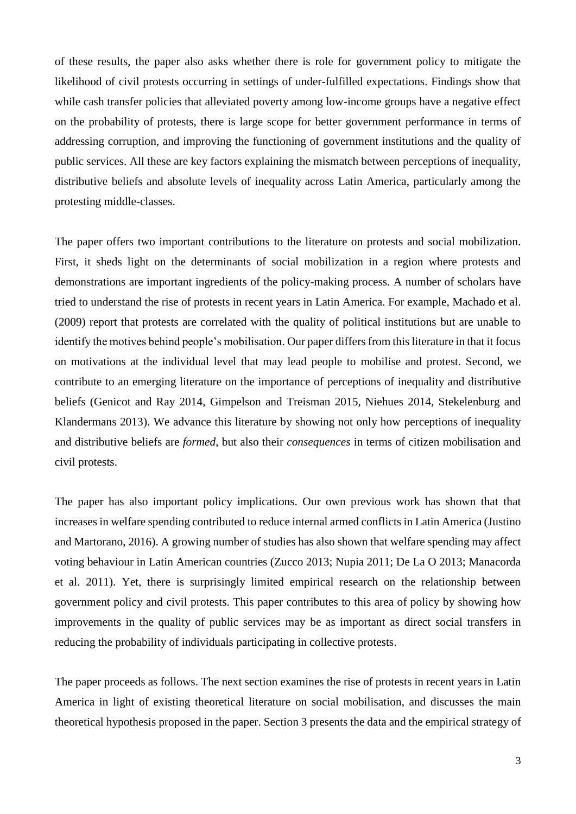of these results, the paper also asks whether there is role for government policy to mitigate the likelihood of civil protests occurring in settings of under-fulfilled expectations. Findings show that while cash transfer policies that alleviated poverty among low-income groups have a negative effect on the probability of protests, there is large scope for better government performance in terms of addressing corruption, and improving the functioning of government institutions and the quality of public services. All these are key factors explaining the mismatch between perceptions of inequality, distributive beliefs and absolute levels of inequality across Latin America, particularly among the protesting middle-classes.

The paper offers two important contributions to the literature on protests and social mobilization. First, it sheds light on the determinants of social mobilization in a region where protests and demonstrations are important ingredients of the policy-making process. A number of scholars have tried to understand the rise of protests in recent years in Latin America. For example, Machado et al. (2009) report that protests are correlated with the quality of political institutions but are unable to identify the motives behind people's mobilisation. Our paper differs from this literature in that it focus on motivations at the individual level that may lead people to mobilise and protest. Second, we contribute to an emerging literature on the importance of perceptions of inequality and distributive beliefs (Genicot and Ray 2014, Gimpelson and Treisman 2015, Niehues 2014, Stekelenburg and Klandermans 2013). We advance this literature by showing not only how perceptions of inequality and distributive beliefs are *formed*, but also their *consequences* in terms of citizen mobilisation and civil protests.

The paper has also important policy implications. Our own previous work has shown that that increases in welfare spending contributed to reduce internal armed conflicts in Latin America (Justino and Martorano, 2016). A growing number of studies has also shown that welfare spending may affect voting behaviour in Latin American countries (Zucco 2013; Nupia 2011; De La O 2013; Manacorda et al. 2011). Yet, there is surprisingly limited empirical research on the relationship between government policy and civil protests. This paper contributes to this area of policy by showing how improvements in the quality of public services may be as important as direct social transfers in reducing the probability of individuals participating in collective protests.

The paper proceeds as follows. The next section examines the rise of protests in recent years in Latin America in light of existing theoretical literature on social mobilisation, and discusses the main theoretical hypothesis proposed in the paper. Section 3 presents the data and the empirical strategy of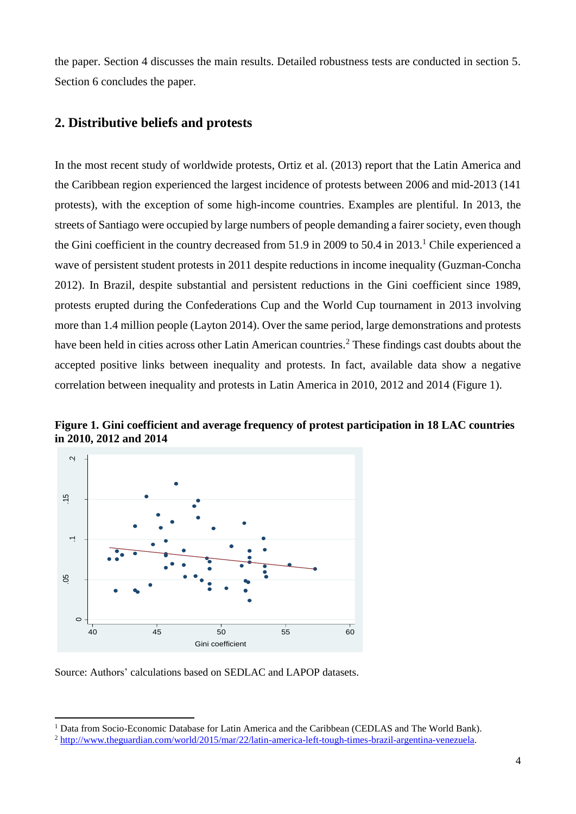the paper. Section 4 discusses the main results. Detailed robustness tests are conducted in section 5. Section 6 concludes the paper.

## **2. Distributive beliefs and protests**

In the most recent study of worldwide protests, Ortiz et al. (2013) report that the Latin America and the Caribbean region experienced the largest incidence of protests between 2006 and mid-2013 (141 protests), with the exception of some high-income countries. Examples are plentiful. In 2013, the streets of Santiago were occupied by large numbers of people demanding a fairer society, even though the Gini coefficient in the country decreased from 51.9 in 2009 to 50.4 in 2013. <sup>1</sup> Chile experienced a wave of persistent student protests in 2011 despite reductions in income inequality (Guzman-Concha 2012). In Brazil, despite substantial and persistent reductions in the Gini coefficient since 1989, protests erupted during the Confederations Cup and the World Cup tournament in 2013 involving more than 1.4 million people (Layton 2014). Over the same period, large demonstrations and protests have been held in cities across other Latin American countries.<sup>2</sup> These findings cast doubts about the accepted positive links between inequality and protests. In fact, available data show a negative correlation between inequality and protests in Latin America in 2010, 2012 and 2014 (Figure 1).



**Figure 1. Gini coefficient and average frequency of protest participation in 18 LAC countries in 2010, 2012 and 2014**

Source: Authors' calculations based on SEDLAC and LAPOP datasets.

**.** 

<sup>&</sup>lt;sup>1</sup> Data from Socio-Economic Database for Latin America and the Caribbean (CEDLAS and The World Bank).

<sup>2</sup> [http://www.theguardian.com/world/2015/mar/22/latin-america-left-tough-times-brazil-argentina-venezuela.](http://www.theguardian.com/world/2015/mar/22/latin-america-left-tough-times-brazil-argentina-venezuela)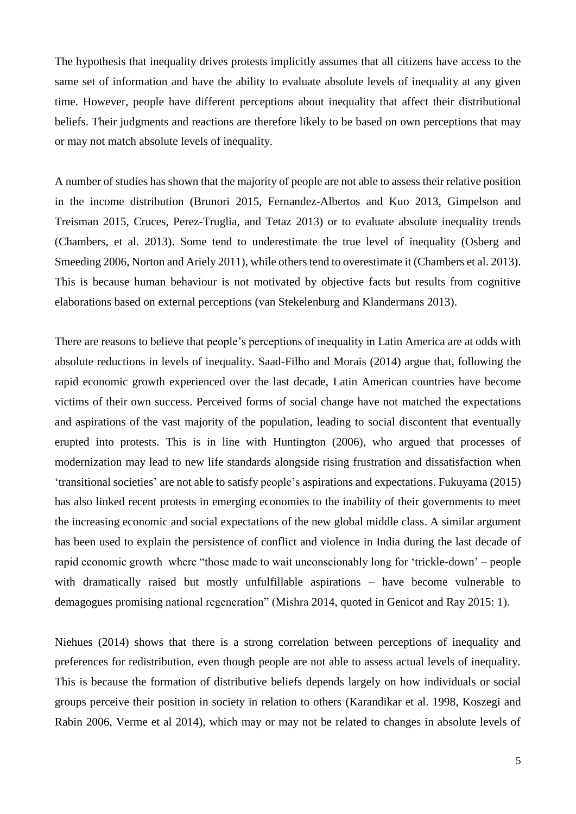The hypothesis that inequality drives protests implicitly assumes that all citizens have access to the same set of information and have the ability to evaluate absolute levels of inequality at any given time. However, people have different perceptions about inequality that affect their distributional beliefs. Their judgments and reactions are therefore likely to be based on own perceptions that may or may not match absolute levels of inequality.

A number of studies has shown that the majority of people are not able to assess their relative position in the income distribution (Brunori 2015, Fernandez-Albertos and Kuo 2013, Gimpelson and Treisman 2015, Cruces, Perez-Truglia, and Tetaz 2013) or to evaluate absolute inequality trends (Chambers, et al. 2013). Some tend to underestimate the true level of inequality (Osberg and Smeeding 2006, Norton and Ariely 2011), while others tend to overestimate it (Chambers et al. 2013). This is because human behaviour is not motivated by objective facts but results from cognitive elaborations based on external perceptions (van Stekelenburg and Klandermans 2013).

There are reasons to believe that people's perceptions of inequality in Latin America are at odds with absolute reductions in levels of inequality. Saad-Filho and Morais (2014) argue that, following the rapid economic growth experienced over the last decade, Latin American countries have become victims of their own success. Perceived forms of social change have not matched the expectations and aspirations of the vast majority of the population, leading to social discontent that eventually erupted into protests. This is in line with Huntington (2006), who argued that processes of modernization may lead to new life standards alongside rising frustration and dissatisfaction when 'transitional societies' are not able to satisfy people's aspirations and expectations. Fukuyama (2015) has also linked recent protests in emerging economies to the inability of their governments to meet the increasing economic and social expectations of the new global middle class. A similar argument has been used to explain the persistence of conflict and violence in India during the last decade of rapid economic growth where "those made to wait unconscionably long for 'trickle-down' – people with dramatically raised but mostly unfulfillable aspirations – have become vulnerable to demagogues promising national regeneration" (Mishra 2014, quoted in Genicot and Ray 2015: 1).

Niehues (2014) shows that there is a strong correlation between perceptions of inequality and preferences for redistribution, even though people are not able to assess actual levels of inequality. This is because the formation of distributive beliefs depends largely on how individuals or social groups perceive their position in society in relation to others (Karandikar et al. 1998, Koszegi and Rabin 2006, Verme et al 2014), which may or may not be related to changes in absolute levels of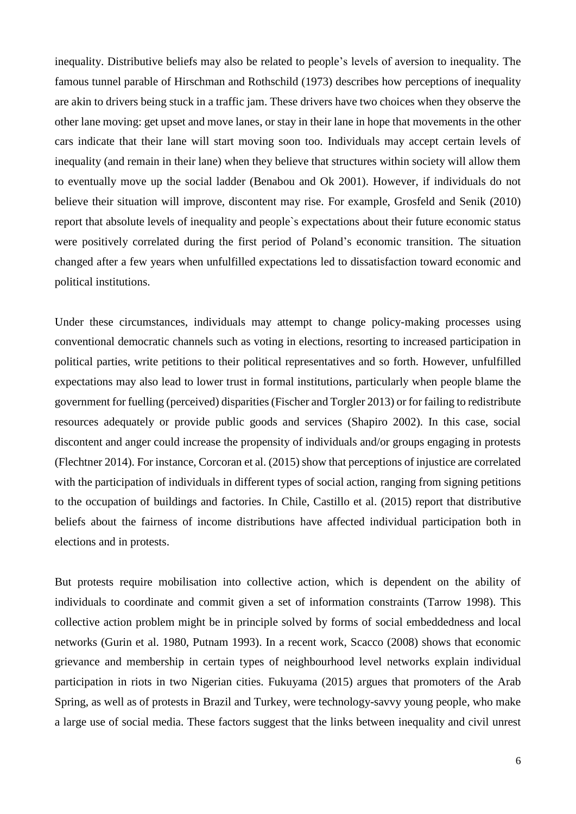inequality. Distributive beliefs may also be related to people's levels of aversion to inequality. The famous tunnel parable of Hirschman and Rothschild (1973) describes how perceptions of inequality are akin to drivers being stuck in a traffic jam. These drivers have two choices when they observe the other lane moving: get upset and move lanes, or stay in their lane in hope that movements in the other cars indicate that their lane will start moving soon too. Individuals may accept certain levels of inequality (and remain in their lane) when they believe that structures within society will allow them to eventually move up the social ladder (Benabou and Ok 2001). However, if individuals do not believe their situation will improve, discontent may rise. For example, Grosfeld and Senik (2010) report that absolute levels of inequality and people`s expectations about their future economic status were positively correlated during the first period of Poland's economic transition. The situation changed after a few years when unfulfilled expectations led to dissatisfaction toward economic and political institutions.

Under these circumstances, individuals may attempt to change policy-making processes using conventional democratic channels such as voting in elections, resorting to increased participation in political parties, write petitions to their political representatives and so forth. However, unfulfilled expectations may also lead to lower trust in formal institutions, particularly when people blame the government for fuelling (perceived) disparities (Fischer and Torgler 2013) or for failing to redistribute resources adequately or provide public goods and services (Shapiro 2002). In this case, social discontent and anger could increase the propensity of individuals and/or groups engaging in protests (Flechtner 2014). For instance, Corcoran et al. (2015) show that perceptions of injustice are correlated with the participation of individuals in different types of social action, ranging from signing petitions to the occupation of buildings and factories. In Chile, Castillo et al. (2015) report that distributive beliefs about the fairness of income distributions have affected individual participation both in elections and in protests.

But protests require mobilisation into collective action, which is dependent on the ability of individuals to coordinate and commit given a set of information constraints (Tarrow 1998). This collective action problem might be in principle solved by forms of social embeddedness and local networks (Gurin et al. 1980, Putnam 1993). In a recent work, Scacco (2008) shows that economic grievance and membership in certain types of neighbourhood level networks explain individual participation in riots in two Nigerian cities. Fukuyama (2015) argues that promoters of the Arab Spring, as well as of protests in Brazil and Turkey, were technology-savvy young people, who make a large use of social media. These factors suggest that the links between inequality and civil unrest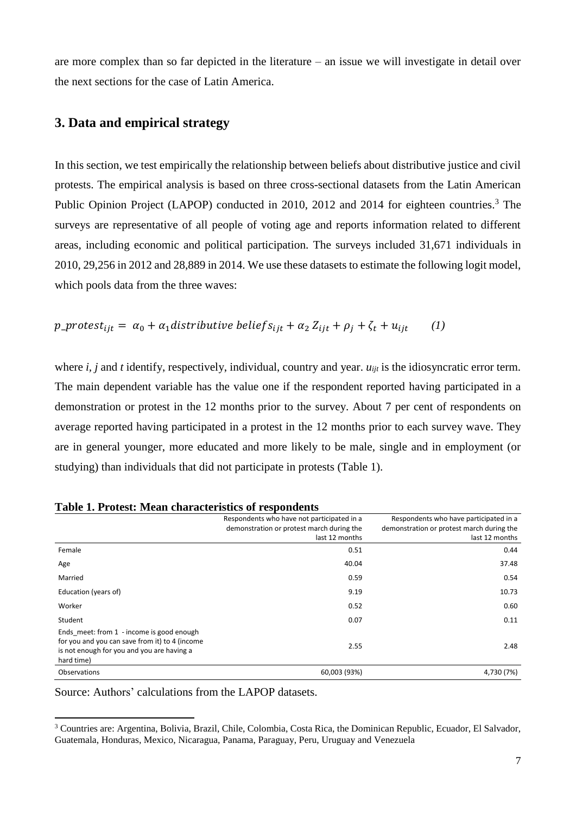are more complex than so far depicted in the literature – an issue we will investigate in detail over the next sections for the case of Latin America.

# **3. Data and empirical strategy**

In this section, we test empirically the relationship between beliefs about distributive justice and civil protests. The empirical analysis is based on three cross-sectional datasets from the Latin American Public Opinion Project (LAPOP) conducted in 2010, 2012 and 2014 for eighteen countries.<sup>3</sup> The surveys are representative of all people of voting age and reports information related to different areas, including economic and political participation. The surveys included 31,671 individuals in 2010, 29,256 in 2012 and 28,889 in 2014. We use these datasets to estimate the following logit model, which pools data from the three waves:

$$
p\_protest_{ijt} = \alpha_0 + \alpha_1 distributive \, beliefs_{ijt} + \alpha_2 Z_{ijt} + \rho_j + \zeta_t + u_{ijt} \qquad (1)
$$

where *i, j* and *t* identify, respectively, individual, country and year. *u<sub>it</sub>* is the idiosyncratic error term. The main dependent variable has the value one if the respondent reported having participated in a demonstration or protest in the 12 months prior to the survey. About 7 per cent of respondents on average reported having participated in a protest in the 12 months prior to each survey wave. They are in general younger, more educated and more likely to be male, single and in employment (or studying) than individuals that did not participate in protests (Table 1).

|                                                                                                                                                         | $0 - 200$ $\mu$ $0 - 200$                  |                                           |
|---------------------------------------------------------------------------------------------------------------------------------------------------------|--------------------------------------------|-------------------------------------------|
|                                                                                                                                                         | Respondents who have not participated in a | Respondents who have participated in a    |
|                                                                                                                                                         | demonstration or protest march during the  | demonstration or protest march during the |
|                                                                                                                                                         | last 12 months                             | last 12 months                            |
| Female                                                                                                                                                  | 0.51                                       | 0.44                                      |
| Age                                                                                                                                                     | 40.04                                      | 37.48                                     |
| Married                                                                                                                                                 | 0.59                                       | 0.54                                      |
| Education (years of)                                                                                                                                    | 9.19                                       | 10.73                                     |
| Worker                                                                                                                                                  | 0.52                                       | 0.60                                      |
| Student                                                                                                                                                 | 0.07                                       | 0.11                                      |
| Ends meet: from 1 - income is good enough<br>for you and you can save from it) to 4 (income<br>is not enough for you and you are having a<br>hard time) | 2.55                                       | 2.48                                      |
| <b>Observations</b>                                                                                                                                     | 60,003 (93%)                               | 4,730 (7%)                                |

Source: Authors' calculations from the LAPOP datasets.

**.** 

<sup>3</sup> Countries are: Argentina, Bolivia, Brazil, Chile, Colombia, Costa Rica, the Dominican Republic, Ecuador, El Salvador, Guatemala, Honduras, Mexico, Nicaragua, Panama, Paraguay, Peru, Uruguay and Venezuela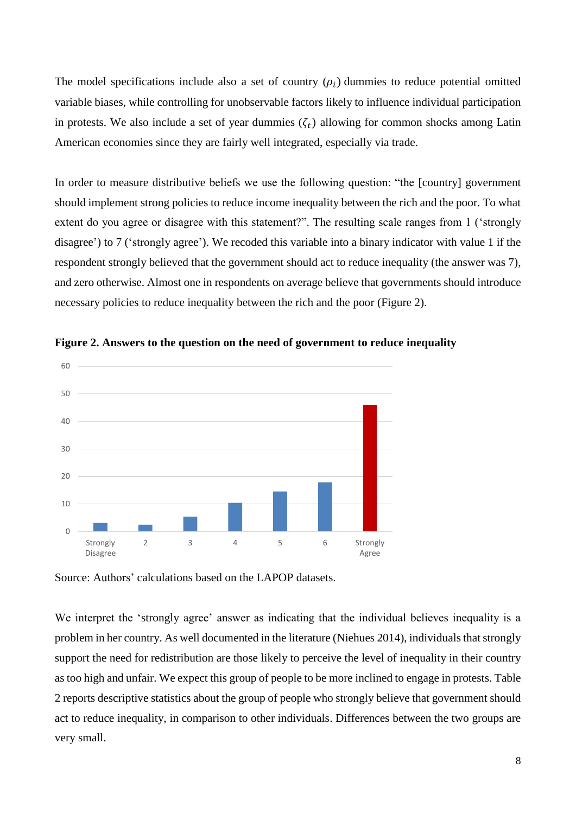The model specifications include also a set of country  $(\rho_i)$  dummies to reduce potential omitted variable biases, while controlling for unobservable factors likely to influence individual participation in protests. We also include a set of year dummies  $(\zeta_t)$  allowing for common shocks among Latin American economies since they are fairly well integrated, especially via trade.

In order to measure distributive beliefs we use the following question: "the [country] government should implement strong policies to reduce income inequality between the rich and the poor. To what extent do you agree or disagree with this statement?". The resulting scale ranges from 1 ('strongly disagree') to 7 ('strongly agree'). We recoded this variable into a binary indicator with value 1 if the respondent strongly believed that the government should act to reduce inequality (the answer was 7), and zero otherwise. Almost one in respondents on average believe that governments should introduce necessary policies to reduce inequality between the rich and the poor (Figure 2).



**Figure 2. Answers to the question on the need of government to reduce inequality**

Source: Authors' calculations based on the LAPOP datasets.

We interpret the 'strongly agree' answer as indicating that the individual believes inequality is a problem in her country. As well documented in the literature (Niehues 2014), individuals that strongly support the need for redistribution are those likely to perceive the level of inequality in their country as too high and unfair. We expect this group of people to be more inclined to engage in protests. Table 2 reports descriptive statistics about the group of people who strongly believe that government should act to reduce inequality, in comparison to other individuals. Differences between the two groups are very small.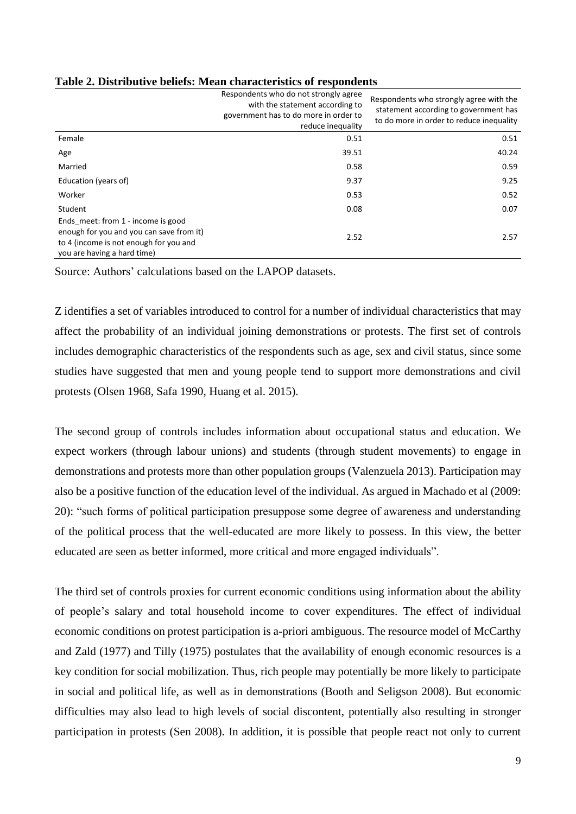|                                                                                                                                                         | Respondents who do not strongly agree<br>with the statement according to<br>government has to do more in order to<br>reduce inequality | Respondents who strongly agree with the<br>statement according to government has<br>to do more in order to reduce inequality |
|---------------------------------------------------------------------------------------------------------------------------------------------------------|----------------------------------------------------------------------------------------------------------------------------------------|------------------------------------------------------------------------------------------------------------------------------|
| Female                                                                                                                                                  | 0.51                                                                                                                                   | 0.51                                                                                                                         |
| Age                                                                                                                                                     | 39.51                                                                                                                                  | 40.24                                                                                                                        |
| Married                                                                                                                                                 | 0.58                                                                                                                                   | 0.59                                                                                                                         |
| Education (years of)                                                                                                                                    | 9.37                                                                                                                                   | 9.25                                                                                                                         |
| Worker                                                                                                                                                  | 0.53                                                                                                                                   | 0.52                                                                                                                         |
| Student                                                                                                                                                 | 0.08                                                                                                                                   | 0.07                                                                                                                         |
| Ends meet: from 1 - income is good<br>enough for you and you can save from it)<br>to 4 (income is not enough for you and<br>you are having a hard time) | 2.52                                                                                                                                   | 2.57                                                                                                                         |

#### **Table 2. Distributive beliefs: Mean characteristics of respondents**

Source: Authors' calculations based on the LAPOP datasets.

Z identifies a set of variables introduced to control for a number of individual characteristics that may affect the probability of an individual joining demonstrations or protests. The first set of controls includes demographic characteristics of the respondents such as age, sex and civil status, since some studies have suggested that men and young people tend to support more demonstrations and civil protests (Olsen 1968, Safa 1990, Huang et al. 2015).

The second group of controls includes information about occupational status and education. We expect workers (through labour unions) and students (through student movements) to engage in demonstrations and protests more than other population groups (Valenzuela 2013). Participation may also be a positive function of the education level of the individual. As argued in Machado et al (2009: 20): "such forms of political participation presuppose some degree of awareness and understanding of the political process that the well-educated are more likely to possess. In this view, the better educated are seen as better informed, more critical and more engaged individuals".

The third set of controls proxies for current economic conditions using information about the ability of people's salary and total household income to cover expenditures. The effect of individual economic conditions on protest participation is a-priori ambiguous. The resource model of McCarthy and Zald (1977) and Tilly (1975) postulates that the availability of enough economic resources is a key condition for social mobilization. Thus, rich people may potentially be more likely to participate in social and political life, as well as in demonstrations (Booth and Seligson 2008). But economic difficulties may also lead to high levels of social discontent, potentially also resulting in stronger participation in protests (Sen 2008). In addition, it is possible that people react not only to current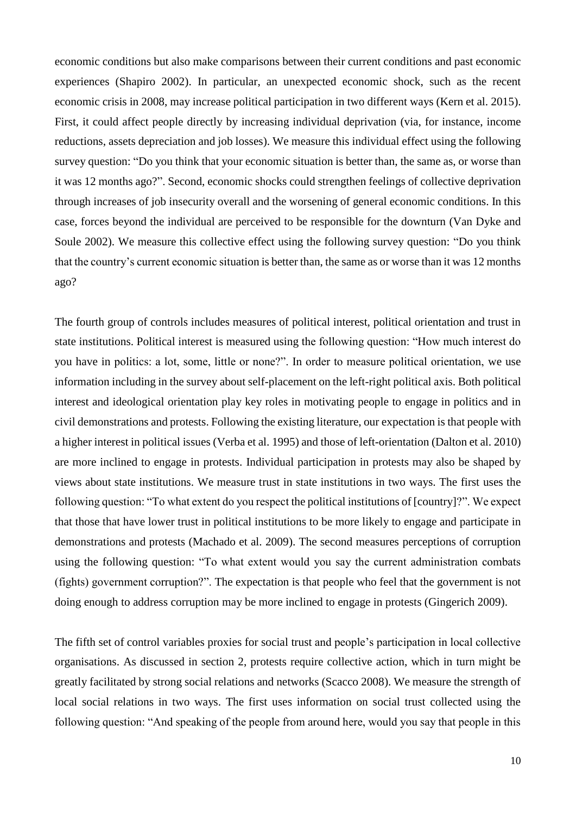economic conditions but also make comparisons between their current conditions and past economic experiences (Shapiro 2002). In particular, an unexpected economic shock, such as the recent economic crisis in 2008, may increase political participation in two different ways (Kern et al. 2015). First, it could affect people directly by increasing individual deprivation (via, for instance, income reductions, assets depreciation and job losses). We measure this individual effect using the following survey question: "Do you think that your economic situation is better than, the same as, or worse than it was 12 months ago?". Second, economic shocks could strengthen feelings of collective deprivation through increases of job insecurity overall and the worsening of general economic conditions. In this case, forces beyond the individual are perceived to be responsible for the downturn (Van Dyke and Soule 2002). We measure this collective effect using the following survey question: "Do you think that the country's current economic situation is better than, the same as or worse than it was 12 months ago?

The fourth group of controls includes measures of political interest, political orientation and trust in state institutions. Political interest is measured using the following question: "How much interest do you have in politics: a lot, some, little or none?". In order to measure political orientation, we use information including in the survey about self-placement on the left-right political axis. Both political interest and ideological orientation play key roles in motivating people to engage in politics and in civil demonstrations and protests. Following the existing literature, our expectation is that people with a higher interest in political issues (Verba et al. 1995) and those of left-orientation (Dalton et al. 2010) are more inclined to engage in protests. Individual participation in protests may also be shaped by views about state institutions. We measure trust in state institutions in two ways. The first uses the following question: "To what extent do you respect the political institutions of [country]?". We expect that those that have lower trust in political institutions to be more likely to engage and participate in demonstrations and protests (Machado et al. 2009). The second measures perceptions of corruption using the following question: "To what extent would you say the current administration combats (fights) government corruption?". The expectation is that people who feel that the government is not doing enough to address corruption may be more inclined to engage in protests (Gingerich 2009).

The fifth set of control variables proxies for social trust and people's participation in local collective organisations. As discussed in section 2, protests require collective action, which in turn might be greatly facilitated by strong social relations and networks (Scacco 2008). We measure the strength of local social relations in two ways. The first uses information on social trust collected using the following question: "And speaking of the people from around here, would you say that people in this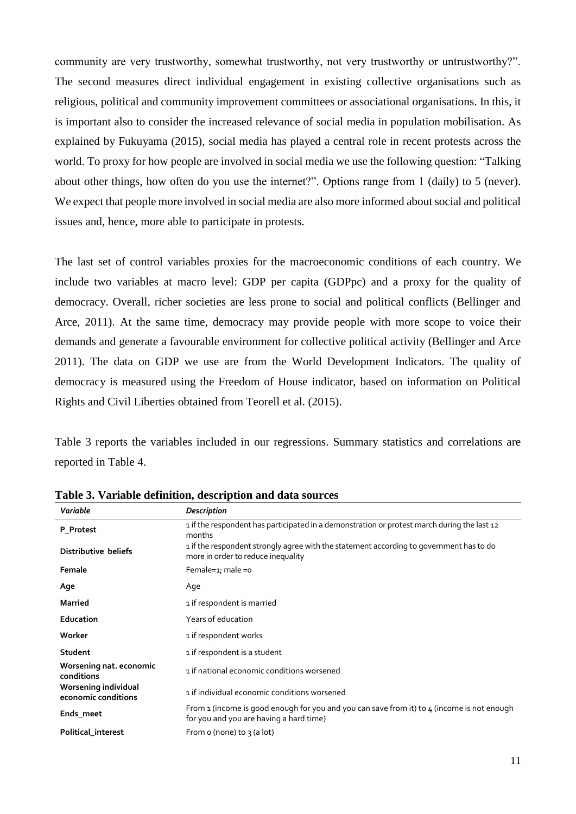community are very trustworthy, somewhat trustworthy, not very trustworthy or untrustworthy?". The second measures direct individual engagement in existing collective organisations such as religious, political and community improvement committees or associational organisations. In this, it is important also to consider the increased relevance of social media in population mobilisation. As explained by Fukuyama (2015), social media has played a central role in recent protests across the world. To proxy for how people are involved in social media we use the following question: "Talking about other things, how often do you use the internet?". Options range from 1 (daily) to 5 (never). We expect that people more involved in social media are also more informed about social and political issues and, hence, more able to participate in protests.

The last set of control variables proxies for the macroeconomic conditions of each country. We include two variables at macro level: GDP per capita (GDPpc) and a proxy for the quality of democracy. Overall, richer societies are less prone to social and political conflicts (Bellinger and Arce, 2011). At the same time, democracy may provide people with more scope to voice their demands and generate a favourable environment for collective political activity (Bellinger and Arce 2011). The data on GDP we use are from the World Development Indicators. The quality of democracy is measured using the Freedom of House indicator, based on information on Political Rights and Civil Liberties obtained from Teorell et al. (2015).

Table 3 reports the variables included in our regressions. Summary statistics and correlations are reported in Table 4.

| <b>Description</b>                                                                                                                    |
|---------------------------------------------------------------------------------------------------------------------------------------|
| 1 if the respondent has participated in a demonstration or protest march during the last 12<br>months                                 |
| 1 if the respondent strongly agree with the statement according to government has to do<br>more in order to reduce inequality         |
| Female=1; male =0                                                                                                                     |
| Age                                                                                                                                   |
| 1 if respondent is married                                                                                                            |
| Years of education                                                                                                                    |
| 1 if respondent works                                                                                                                 |
| 1 if respondent is a student                                                                                                          |
| 1 if national economic conditions worsened                                                                                            |
| 1 if individual economic conditions worsened                                                                                          |
| From 1 (income is good enough for you and you can save from it) to 4 (income is not enough<br>for you and you are having a hard time) |
| From o (none) to $\frac{1}{3}$ (a lot)                                                                                                |
|                                                                                                                                       |

**Table 3. Variable definition, description and data sources**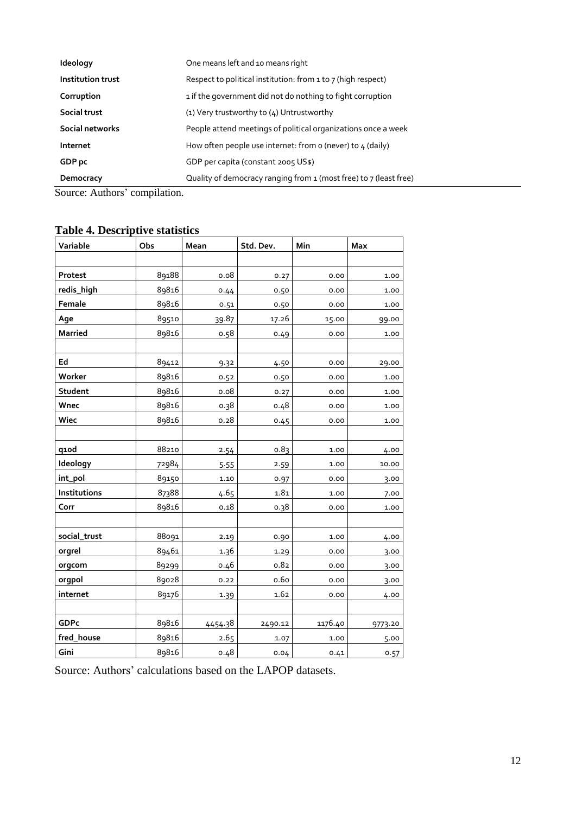| Ideology          | One means left and 10 means right                                 |
|-------------------|-------------------------------------------------------------------|
| Institution trust | Respect to political institution: from 1 to 7 (high respect)      |
| Corruption        | 1 if the government did not do nothing to fight corruption        |
| Social trust      | (1) Very trustworthy to (4) Untrustworthy                         |
| Social networks   | People attend meetings of political organizations once a week     |
| Internet          | How often people use internet: from o (never) to $\mu$ (daily)    |
| GDP pc            | GDP per capita (constant 2005 US\$)                               |
| Democracy         | Quality of democracy ranging from 1 (most free) to 7 (least free) |

Source: Authors' compilation.

# **Table 4. Descriptive statistics**

| Variable       | Obs   | Mean     | Std. Dev. | Min     | Max     |
|----------------|-------|----------|-----------|---------|---------|
|                |       |          |           |         |         |
| Protest        | 89188 | 0.08     | 0.27      | 0.00    | 1.00    |
| redis_high     | 89816 | 0.44     | 0.50      | 0.00    | 1.00    |
| Female         | 89816 | 0.51     | 0.50      | 0.00    | 1.00    |
| Age            | 89510 | 39.87    | 17.26     | 15.00   | 99.00   |
| <b>Married</b> | 89816 | 0.58     | 0.49      | 0.00    | 1.00    |
|                |       |          |           |         |         |
| Ed             | 89412 | 9.32     | 4.50      | 0.00    | 29.00   |
| Worker         | 89816 | 0.52     | 0.50      | 0.00    | 1.00    |
| Student        | 89816 | 0.08     | 0.27      | 0.00    | 1.00    |
| Wnec           | 89816 | 0.38     | 0.48      | 0.00    | 1.00    |
| Wiec           | 89816 | 0.28     | 0.45      | 0.00    | 1.00    |
|                |       |          |           |         |         |
| q1od           | 88210 | 2.54     | 0.83      | 1.00    | 4.00    |
| Ideology       | 72984 | 5.55     | 2.59      | 1.00    | 10.00   |
| int_pol        | 89150 | $1.10\,$ | 0.97      | 0.00    | 3.00    |
| Institutions   | 87388 | 4.65     | 1.81      | 1.00    | 7.00    |
| Corr           | 89816 | 0.18     | 0.38      | 0.00    | 1.00    |
|                |       |          |           |         |         |
| social_trust   | 88091 | 2.19     | 0.90      | 1.00    | 4.00    |
| orgrel         | 89461 | 1.36     | 1.29      | 0.00    | 3.00    |
| orgcom         | 89299 | 0.46     | 0.82      | 0.00    | 3.00    |
| orgpol         | 89028 | 0.22     | 0.60      | 0.00    | 3.00    |
| internet       | 89176 | 1.39     | 1.62      | 0.00    | 4.00    |
|                |       |          |           |         |         |
| <b>GDPc</b>    | 89816 | 4454.38  | 2490.12   | 1176.40 | 9773.20 |
| fred_house     | 89816 | 2.65     | 1.07      | 1.00    | 5.00    |
| Gini           | 89816 | 0.48     | 0.04      | 0.41    | 0.57    |

Source: Authors' calculations based on the LAPOP datasets.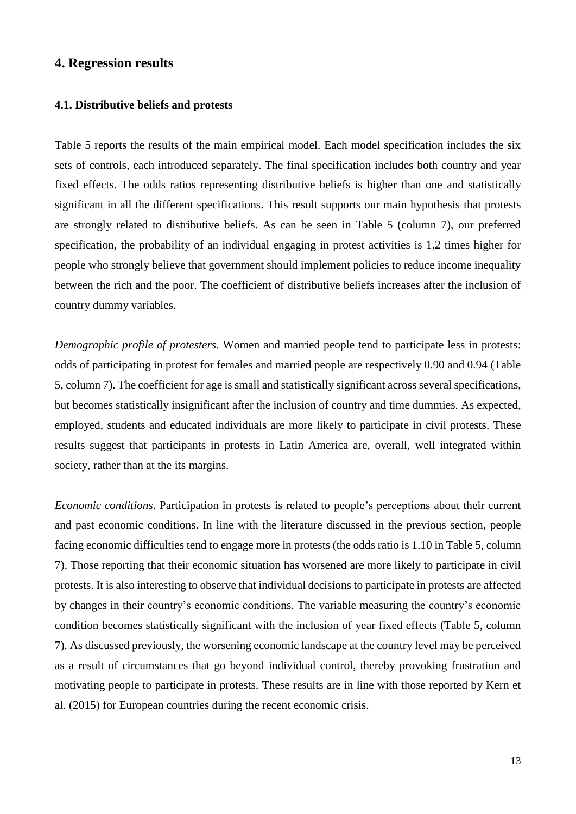## **4. Regression results**

#### **4.1. Distributive beliefs and protests**

Table 5 reports the results of the main empirical model. Each model specification includes the six sets of controls, each introduced separately. The final specification includes both country and year fixed effects. The odds ratios representing distributive beliefs is higher than one and statistically significant in all the different specifications. This result supports our main hypothesis that protests are strongly related to distributive beliefs. As can be seen in Table 5 (column 7), our preferred specification, the probability of an individual engaging in protest activities is 1.2 times higher for people who strongly believe that government should implement policies to reduce income inequality between the rich and the poor. The coefficient of distributive beliefs increases after the inclusion of country dummy variables.

*Demographic profile of protesters*. Women and married people tend to participate less in protests: odds of participating in protest for females and married people are respectively 0.90 and 0.94 (Table 5, column 7). The coefficient for age is small and statistically significant across several specifications, but becomes statistically insignificant after the inclusion of country and time dummies. As expected, employed, students and educated individuals are more likely to participate in civil protests. These results suggest that participants in protests in Latin America are, overall, well integrated within society, rather than at the its margins.

*Economic conditions*. Participation in protests is related to people's perceptions about their current and past economic conditions. In line with the literature discussed in the previous section, people facing economic difficulties tend to engage more in protests (the odds ratio is 1.10 in Table 5, column 7). Those reporting that their economic situation has worsened are more likely to participate in civil protests. It is also interesting to observe that individual decisions to participate in protests are affected by changes in their country's economic conditions. The variable measuring the country's economic condition becomes statistically significant with the inclusion of year fixed effects (Table 5, column 7). As discussed previously, the worsening economic landscape at the country level may be perceived as a result of circumstances that go beyond individual control, thereby provoking frustration and motivating people to participate in protests. These results are in line with those reported by Kern et al. (2015) for European countries during the recent economic crisis.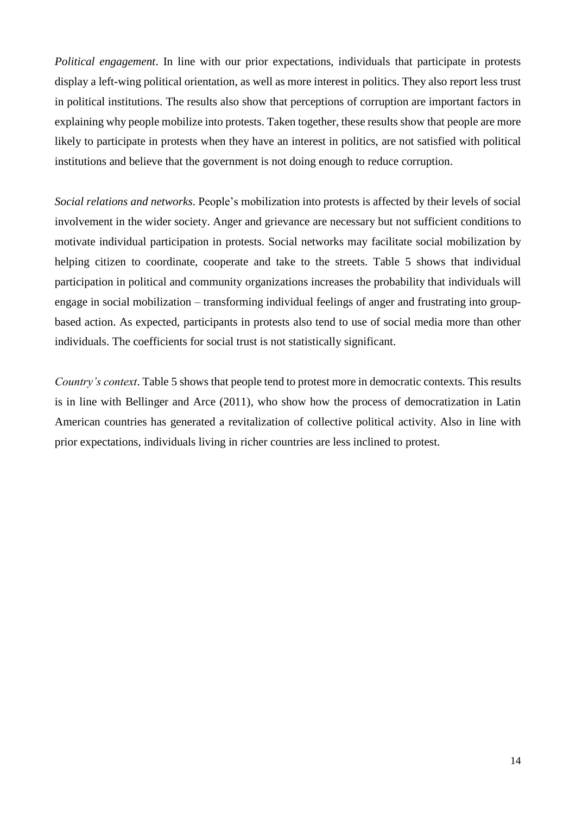*Political engagement*. In line with our prior expectations, individuals that participate in protests display a left-wing political orientation, as well as more interest in politics. They also report less trust in political institutions. The results also show that perceptions of corruption are important factors in explaining why people mobilize into protests. Taken together, these results show that people are more likely to participate in protests when they have an interest in politics, are not satisfied with political institutions and believe that the government is not doing enough to reduce corruption.

*Social relations and networks*. People's mobilization into protests is affected by their levels of social involvement in the wider society. Anger and grievance are necessary but not sufficient conditions to motivate individual participation in protests. Social networks may facilitate social mobilization by helping citizen to coordinate, cooperate and take to the streets. Table 5 shows that individual participation in political and community organizations increases the probability that individuals will engage in social mobilization – transforming individual feelings of anger and frustrating into groupbased action. As expected, participants in protests also tend to use of social media more than other individuals. The coefficients for social trust is not statistically significant.

*Country's context*. Table 5 shows that people tend to protest more in democratic contexts. This results is in line with Bellinger and Arce (2011), who show how the process of democratization in Latin American countries has generated a revitalization of collective political activity. Also in line with prior expectations, individuals living in richer countries are less inclined to protest.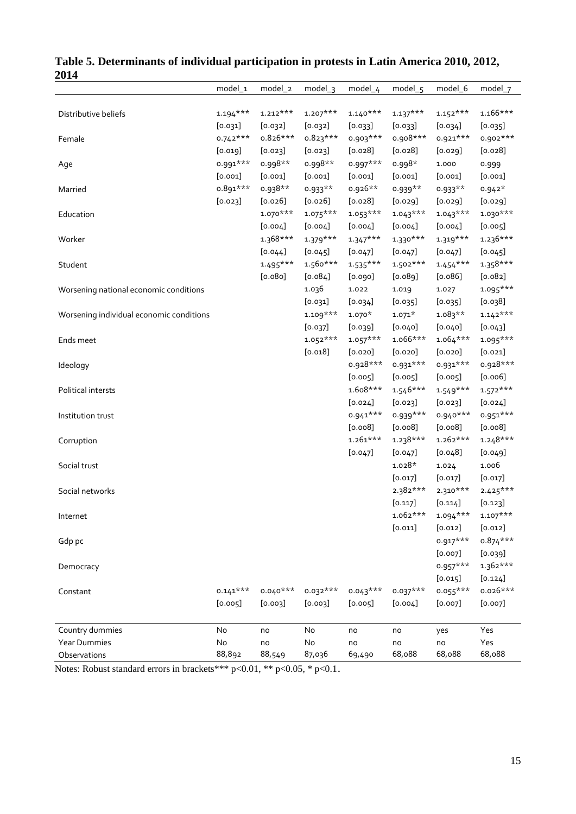| דוט∠                                     |            |            |            |            |                                                                                                                                                                                                                                                                                                                                                                                                                                                                                                                                                                                                                                                                                                                                                                                                                                                                                                            |            |            |
|------------------------------------------|------------|------------|------------|------------|------------------------------------------------------------------------------------------------------------------------------------------------------------------------------------------------------------------------------------------------------------------------------------------------------------------------------------------------------------------------------------------------------------------------------------------------------------------------------------------------------------------------------------------------------------------------------------------------------------------------------------------------------------------------------------------------------------------------------------------------------------------------------------------------------------------------------------------------------------------------------------------------------------|------------|------------|
|                                          | model_1    | model_2    | $model_3$  | model_4    | model_5                                                                                                                                                                                                                                                                                                                                                                                                                                                                                                                                                                                                                                                                                                                                                                                                                                                                                                    | model_6    | model_7    |
| Distributive beliefs                     | $1.194***$ | $1.212***$ | $1.207***$ | $1.140***$ |                                                                                                                                                                                                                                                                                                                                                                                                                                                                                                                                                                                                                                                                                                                                                                                                                                                                                                            |            | $1.166***$ |
|                                          | [0.031]    | [0.032]    | [0.032]    | [0.033]    |                                                                                                                                                                                                                                                                                                                                                                                                                                                                                                                                                                                                                                                                                                                                                                                                                                                                                                            |            | [0.035]    |
| Female                                   | $0.742***$ | $0.826***$ | $0.823***$ | $0.903***$ |                                                                                                                                                                                                                                                                                                                                                                                                                                                                                                                                                                                                                                                                                                                                                                                                                                                                                                            |            | 0.902 ***  |
|                                          | [0.019]    | $[0.023]$  | [0.023]    | $[0.028]$  |                                                                                                                                                                                                                                                                                                                                                                                                                                                                                                                                                                                                                                                                                                                                                                                                                                                                                                            |            | [0.028]    |
|                                          | 0.991***   | 0.998**    | 0.998**    | $0.997***$ | $1.137***$<br>$1.152***$<br>[0.033]<br>[0.034]<br>0.908***<br>$0.921***$<br>[0.028]<br>[0.029]<br>$0.998*$<br>1.000<br>[0.001]<br>[0.001]<br>$0.939**$<br>$0.933**$<br>[0.029]<br>[0.029]<br>$1.043***$<br>$1.043***$<br>[0.004]<br>[0.004]<br>$1.330***$<br>$1.319***$<br>[0.047]<br>[0.047]<br>$1.502***$<br>[0.089]<br>[0.086]<br>1.019<br>1.027<br>[0.035]<br>[0.035]<br>$1.083**$<br>$1.071*$<br>[0.040]<br>[0.040]<br>$1.066***$<br>[0.020]<br>[0.020]<br>0.931***<br>[0.005]<br>[0.005]<br>$1.546***$<br>$1.549***$<br>[0.023]<br>$[0.023]$<br>$0.940***$<br>$0.939***$<br>[0.008]<br>[0.008]<br>$1.238***$<br>$1.262***$<br>[0.048]<br>[0.047]<br>$1.028*$<br>1.024<br>[0.017]<br>[0.017]<br>2.382***<br>2.310***<br>$[0.117]$<br>[0.114]<br>$1.062***$<br>$1.094***$<br>[0.011]<br>[0.012]<br>$0.917***$<br>$[0.007]$<br>$0.957***$<br>[0.015]<br>$0.037***$<br>[0.004]<br>$[0.007]$<br>no<br>yes |            | 0.999      |
| Age                                      |            |            |            |            |                                                                                                                                                                                                                                                                                                                                                                                                                                                                                                                                                                                                                                                                                                                                                                                                                                                                                                            |            |            |
|                                          | [0.001]    | [0.001]    | [0.001]    | [0.001]    |                                                                                                                                                                                                                                                                                                                                                                                                                                                                                                                                                                                                                                                                                                                                                                                                                                                                                                            |            | [0.001]    |
| Married                                  | $0.891***$ | 0.938**    | $0.933**$  | 0.926**    |                                                                                                                                                                                                                                                                                                                                                                                                                                                                                                                                                                                                                                                                                                                                                                                                                                                                                                            |            | $0.942*$   |
|                                          | $[0.023]$  | $[0.026]$  | $[0.026]$  | $[0.028]$  |                                                                                                                                                                                                                                                                                                                                                                                                                                                                                                                                                                                                                                                                                                                                                                                                                                                                                                            |            | [0.029]    |
| Education                                |            | $1.070***$ | $1.075***$ | $1.053***$ |                                                                                                                                                                                                                                                                                                                                                                                                                                                                                                                                                                                                                                                                                                                                                                                                                                                                                                            |            | $1.030***$ |
|                                          |            | $[0.004]$  | [0.004]    | [0.004]    |                                                                                                                                                                                                                                                                                                                                                                                                                                                                                                                                                                                                                                                                                                                                                                                                                                                                                                            |            | [0.005]    |
| Worker                                   |            | $1.368***$ | $1.379***$ | $1.347***$ |                                                                                                                                                                                                                                                                                                                                                                                                                                                                                                                                                                                                                                                                                                                                                                                                                                                                                                            |            | $1.236***$ |
|                                          |            | [0.044]    | [0.045]    | [0.047]    |                                                                                                                                                                                                                                                                                                                                                                                                                                                                                                                                                                                                                                                                                                                                                                                                                                                                                                            |            | [0.045]    |
| Student                                  |            | $1.495***$ | $1.560***$ | $1.535***$ |                                                                                                                                                                                                                                                                                                                                                                                                                                                                                                                                                                                                                                                                                                                                                                                                                                                                                                            | $1.454***$ | $1.358***$ |
|                                          |            | [0.080]    | [0.084]    | [0.090]    |                                                                                                                                                                                                                                                                                                                                                                                                                                                                                                                                                                                                                                                                                                                                                                                                                                                                                                            |            | [0.082]    |
| Worsening national economic conditions   |            |            | 1.036      | 1.022      |                                                                                                                                                                                                                                                                                                                                                                                                                                                                                                                                                                                                                                                                                                                                                                                                                                                                                                            |            | $1.095***$ |
|                                          |            |            | [0.031]    | [0.034]    |                                                                                                                                                                                                                                                                                                                                                                                                                                                                                                                                                                                                                                                                                                                                                                                                                                                                                                            |            | [0.038]    |
| Worsening individual economic conditions |            |            | $1.109***$ | $1.070*$   |                                                                                                                                                                                                                                                                                                                                                                                                                                                                                                                                                                                                                                                                                                                                                                                                                                                                                                            |            | $1.142***$ |
|                                          |            |            | [0.037]    | [0.039]    |                                                                                                                                                                                                                                                                                                                                                                                                                                                                                                                                                                                                                                                                                                                                                                                                                                                                                                            |            | [0.043]    |
| Ends meet                                |            |            | $1.052***$ | $1.057***$ |                                                                                                                                                                                                                                                                                                                                                                                                                                                                                                                                                                                                                                                                                                                                                                                                                                                                                                            | $1.064***$ | $1.095***$ |
|                                          |            |            | [0.018]    | $[0.020]$  |                                                                                                                                                                                                                                                                                                                                                                                                                                                                                                                                                                                                                                                                                                                                                                                                                                                                                                            |            | $[0.021]$  |
| Ideology                                 |            |            |            | 0.928***   |                                                                                                                                                                                                                                                                                                                                                                                                                                                                                                                                                                                                                                                                                                                                                                                                                                                                                                            | 0.931***   | 0.928***   |
|                                          |            |            |            | [0.005]    |                                                                                                                                                                                                                                                                                                                                                                                                                                                                                                                                                                                                                                                                                                                                                                                                                                                                                                            |            | [0.006]    |
| Political intersts                       |            |            |            | $1.608***$ |                                                                                                                                                                                                                                                                                                                                                                                                                                                                                                                                                                                                                                                                                                                                                                                                                                                                                                            |            | $1.572***$ |
|                                          |            |            |            | $[0.024]$  |                                                                                                                                                                                                                                                                                                                                                                                                                                                                                                                                                                                                                                                                                                                                                                                                                                                                                                            |            | $[0.024]$  |
| Institution trust                        |            |            |            | $0.941***$ |                                                                                                                                                                                                                                                                                                                                                                                                                                                                                                                                                                                                                                                                                                                                                                                                                                                                                                            |            | 0.951***   |
|                                          |            |            |            | [0.008]    |                                                                                                                                                                                                                                                                                                                                                                                                                                                                                                                                                                                                                                                                                                                                                                                                                                                                                                            |            | [0.008]    |
| Corruption                               |            |            |            | $1.261***$ |                                                                                                                                                                                                                                                                                                                                                                                                                                                                                                                                                                                                                                                                                                                                                                                                                                                                                                            |            | $1.248***$ |
|                                          |            |            |            | $[0.047]$  |                                                                                                                                                                                                                                                                                                                                                                                                                                                                                                                                                                                                                                                                                                                                                                                                                                                                                                            |            | [0.049]    |
| Social trust                             |            |            |            |            |                                                                                                                                                                                                                                                                                                                                                                                                                                                                                                                                                                                                                                                                                                                                                                                                                                                                                                            |            | 1.006      |
|                                          |            |            |            |            |                                                                                                                                                                                                                                                                                                                                                                                                                                                                                                                                                                                                                                                                                                                                                                                                                                                                                                            |            |            |
|                                          |            |            |            |            |                                                                                                                                                                                                                                                                                                                                                                                                                                                                                                                                                                                                                                                                                                                                                                                                                                                                                                            |            | [0.017]    |
| Social networks                          |            |            |            |            |                                                                                                                                                                                                                                                                                                                                                                                                                                                                                                                                                                                                                                                                                                                                                                                                                                                                                                            |            | $2.425***$ |
|                                          |            |            |            |            |                                                                                                                                                                                                                                                                                                                                                                                                                                                                                                                                                                                                                                                                                                                                                                                                                                                                                                            |            | [0.123]    |
| Internet                                 |            |            |            |            |                                                                                                                                                                                                                                                                                                                                                                                                                                                                                                                                                                                                                                                                                                                                                                                                                                                                                                            |            | $1.107***$ |
|                                          |            |            |            |            |                                                                                                                                                                                                                                                                                                                                                                                                                                                                                                                                                                                                                                                                                                                                                                                                                                                                                                            |            | [0.012]    |
| Gdp pc                                   |            |            |            |            |                                                                                                                                                                                                                                                                                                                                                                                                                                                                                                                                                                                                                                                                                                                                                                                                                                                                                                            |            | $0.874***$ |
|                                          |            |            |            |            |                                                                                                                                                                                                                                                                                                                                                                                                                                                                                                                                                                                                                                                                                                                                                                                                                                                                                                            |            | [0.039]    |
| Democracy                                |            |            |            |            |                                                                                                                                                                                                                                                                                                                                                                                                                                                                                                                                                                                                                                                                                                                                                                                                                                                                                                            |            | 1.362***   |
|                                          |            |            |            |            |                                                                                                                                                                                                                                                                                                                                                                                                                                                                                                                                                                                                                                                                                                                                                                                                                                                                                                            |            | [0.124]    |
| Constant                                 | $0.141***$ | $0.040***$ | $0.032***$ | $0.043***$ |                                                                                                                                                                                                                                                                                                                                                                                                                                                                                                                                                                                                                                                                                                                                                                                                                                                                                                            | $0.055***$ | $0.026***$ |
|                                          | [0.005]    | [0.003]    | [0.003]    | [0.005]    |                                                                                                                                                                                                                                                                                                                                                                                                                                                                                                                                                                                                                                                                                                                                                                                                                                                                                                            |            | $[0.007]$  |
| Country dummies                          | No         | no         | No         | no         |                                                                                                                                                                                                                                                                                                                                                                                                                                                                                                                                                                                                                                                                                                                                                                                                                                                                                                            |            | Yes        |
| Year Dummies                             | No         | no         | No         | no         | no                                                                                                                                                                                                                                                                                                                                                                                                                                                                                                                                                                                                                                                                                                                                                                                                                                                                                                         | no         | Yes        |
| Observations                             | 88,892     | 88,549     | 87,036     | 69,490     | 68,088                                                                                                                                                                                                                                                                                                                                                                                                                                                                                                                                                                                                                                                                                                                                                                                                                                                                                                     | 68,088     | 68,088     |

| Table 5. Determinants of individual participation in protests in Latin America 2010, 2012, |  |
|--------------------------------------------------------------------------------------------|--|
| 2014                                                                                       |  |

Notes: Robust standard errors in brackets\*\*\* p<0.01, \*\* p<0.05, \* p<0.1.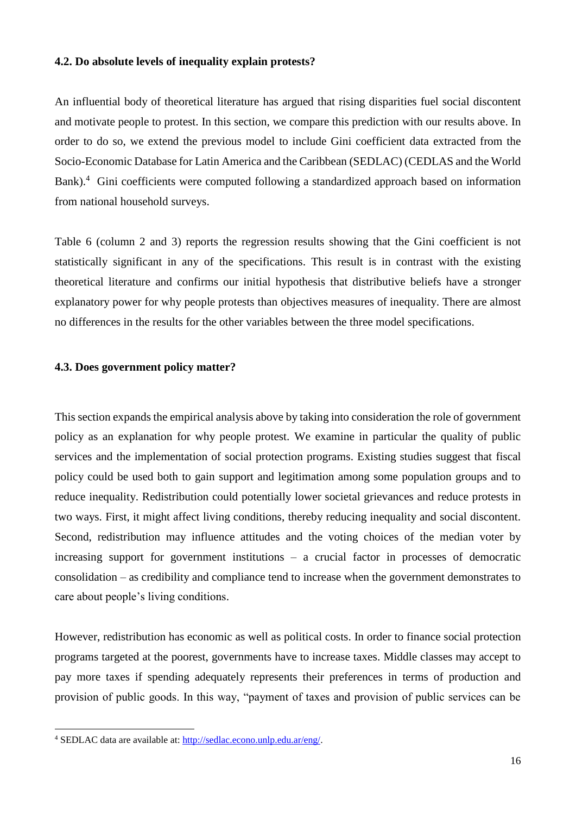#### **4.2. Do absolute levels of inequality explain protests?**

An influential body of theoretical literature has argued that rising disparities fuel social discontent and motivate people to protest. In this section, we compare this prediction with our results above. In order to do so, we extend the previous model to include Gini coefficient data extracted from the Socio-Economic Database for Latin America and the Caribbean (SEDLAC) (CEDLAS and the World Bank).<sup>4</sup> Gini coefficients were computed following a standardized approach based on information from national household surveys.

Table 6 (column 2 and 3) reports the regression results showing that the Gini coefficient is not statistically significant in any of the specifications. This result is in contrast with the existing theoretical literature and confirms our initial hypothesis that distributive beliefs have a stronger explanatory power for why people protests than objectives measures of inequality. There are almost no differences in the results for the other variables between the three model specifications.

#### **4.3. Does government policy matter?**

This section expands the empirical analysis above by taking into consideration the role of government policy as an explanation for why people protest. We examine in particular the quality of public services and the implementation of social protection programs. Existing studies suggest that fiscal policy could be used both to gain support and legitimation among some population groups and to reduce inequality. Redistribution could potentially lower societal grievances and reduce protests in two ways. First, it might affect living conditions, thereby reducing inequality and social discontent. Second, redistribution may influence attitudes and the voting choices of the median voter by increasing support for government institutions – a crucial factor in processes of democratic consolidation – as credibility and compliance tend to increase when the government demonstrates to care about people's living conditions.

However, redistribution has economic as well as political costs. In order to finance social protection programs targeted at the poorest, governments have to increase taxes. Middle classes may accept to pay more taxes if spending adequately represents their preferences in terms of production and provision of public goods. In this way, "payment of taxes and provision of public services can be

 $\overline{a}$ 

<sup>4</sup> SEDLAC data are available at: [http://sedlac.econo.unlp.edu.ar/eng/.](http://sedlac.econo.unlp.edu.ar/eng/)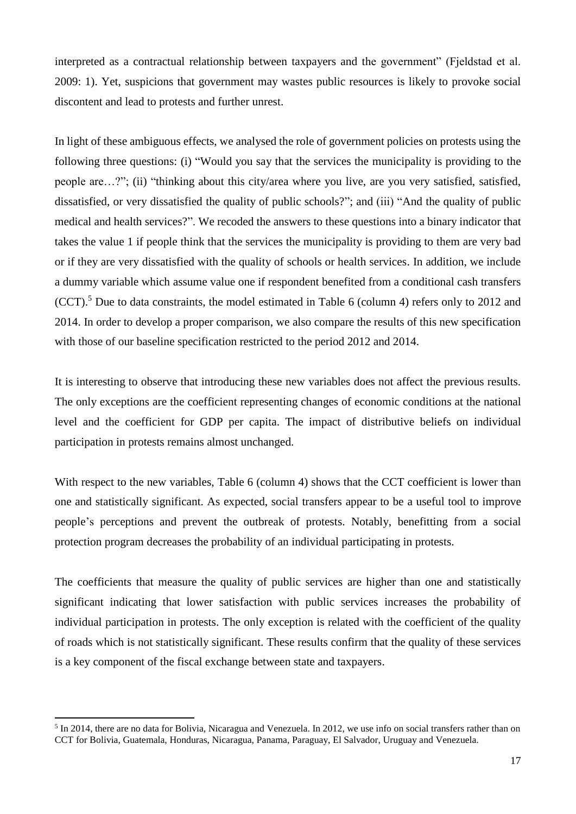interpreted as a contractual relationship between taxpayers and the government" (Fjeldstad et al. 2009: 1). Yet, suspicions that government may wastes public resources is likely to provoke social discontent and lead to protests and further unrest.

In light of these ambiguous effects, we analysed the role of government policies on protests using the following three questions: (i) "Would you say that the services the municipality is providing to the people are…?"; (ii) "thinking about this city/area where you live, are you very satisfied, satisfied, dissatisfied, or very dissatisfied the quality of public schools?"; and (iii) "And the quality of public medical and health services?". We recoded the answers to these questions into a binary indicator that takes the value 1 if people think that the services the municipality is providing to them are very bad or if they are very dissatisfied with the quality of schools or health services. In addition, we include a dummy variable which assume value one if respondent benefited from a conditional cash transfers (CCT).<sup>5</sup> Due to data constraints, the model estimated in Table 6 (column 4) refers only to 2012 and 2014. In order to develop a proper comparison, we also compare the results of this new specification with those of our baseline specification restricted to the period 2012 and 2014.

It is interesting to observe that introducing these new variables does not affect the previous results. The only exceptions are the coefficient representing changes of economic conditions at the national level and the coefficient for GDP per capita. The impact of distributive beliefs on individual participation in protests remains almost unchanged.

With respect to the new variables, Table 6 (column 4) shows that the CCT coefficient is lower than one and statistically significant. As expected, social transfers appear to be a useful tool to improve people's perceptions and prevent the outbreak of protests. Notably, benefitting from a social protection program decreases the probability of an individual participating in protests.

The coefficients that measure the quality of public services are higher than one and statistically significant indicating that lower satisfaction with public services increases the probability of individual participation in protests. The only exception is related with the coefficient of the quality of roads which is not statistically significant. These results confirm that the quality of these services is a key component of the fiscal exchange between state and taxpayers.

**.** 

<sup>&</sup>lt;sup>5</sup> In 2014, there are no data for Bolivia, Nicaragua and Venezuela. In 2012, we use info on social transfers rather than on CCT for Bolivia, Guatemala, Honduras, Nicaragua, Panama, Paraguay, El Salvador, Uruguay and Venezuela.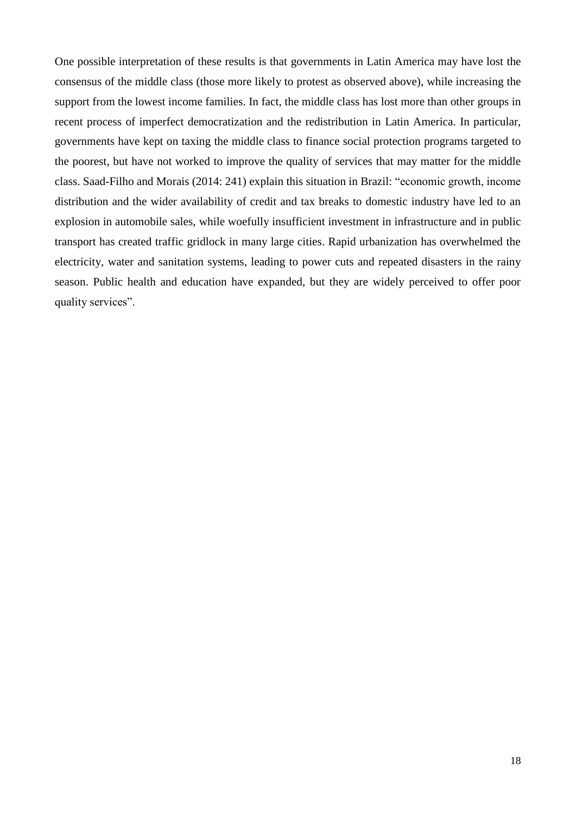One possible interpretation of these results is that governments in Latin America may have lost the consensus of the middle class (those more likely to protest as observed above), while increasing the support from the lowest income families. In fact, the middle class has lost more than other groups in recent process of imperfect democratization and the redistribution in Latin America. In particular, governments have kept on taxing the middle class to finance social protection programs targeted to the poorest, but have not worked to improve the quality of services that may matter for the middle class. Saad-Filho and Morais (2014: 241) explain this situation in Brazil: "economic growth, income distribution and the wider availability of credit and tax breaks to domestic industry have led to an explosion in automobile sales, while woefully insufficient investment in infrastructure and in public transport has created traffic gridlock in many large cities. Rapid urbanization has overwhelmed the electricity, water and sanitation systems, leading to power cuts and repeated disasters in the rainy season. Public health and education have expanded, but they are widely perceived to offer poor quality services".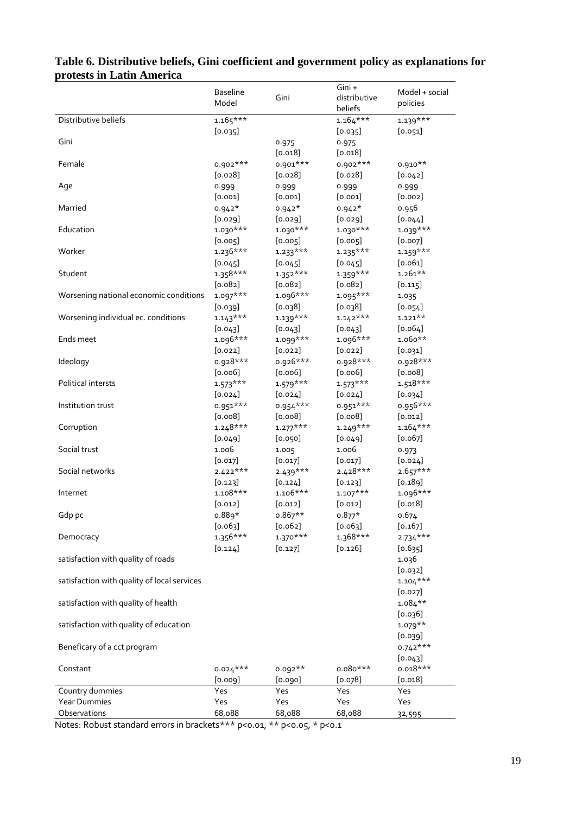|                                             |                 |            | Gini +       |                |
|---------------------------------------------|-----------------|------------|--------------|----------------|
|                                             | <b>Baseline</b> | Gini       | distributive | Model + social |
|                                             | Model           |            | beliefs      | policies       |
| Distributive beliefs                        | $1.165***$      |            | $1.164***$   | $1.139***$     |
|                                             | [0.035]         |            | [0.035]      | [0.051]        |
| Gini                                        |                 |            |              |                |
|                                             |                 | 0.975      | 0.975        |                |
|                                             |                 | [0.018]    | [0.018]      |                |
| Female                                      | $0.902***$      | 0.901***   | $0.902***$   | $0.910**$      |
|                                             | [0.028]         | $[0.028]$  | [0.028]      | [0.042]        |
| Age                                         | 0.999           | 0.999      | 0.999        | 0.999          |
|                                             | [0.001]         | [0.001]    | [0.001]      | [0.002]        |
| Married                                     | $0.942*$        | $0.942*$   | $0.942*$     | 0.956          |
|                                             | [0.029]         | [0.029]    | [0.029]      | [0.044]        |
| Education                                   | $1.030***$      | $1.030***$ | $1.030***$   | $1.039***$     |
|                                             | [0.005]         | [0.005]    | [0.005]      | [0.007]        |
| Worker                                      | $1.236***$      | $1.233***$ | $1.235***$   | $1.159***$     |
|                                             | [0.045]         | [0.045]    | [0.045]      | [0.061]        |
| Student                                     | $1.358***$      | $1.352***$ | $1.359***$   | $1.261**$      |
|                                             | [0.082]         | $[0.082]$  | [0.082]      | [0.115]        |
|                                             |                 |            |              |                |
| Worsening national economic conditions      | $1.097***$      | 1.096***   | $1.095***$   | 1.035          |
|                                             | [0.039]         | [0.038]    | [0.038]      | [0.054]        |
| Worsening individual ec. conditions         | $1.143***$      | $1.139***$ | $1.142***$   | $1.121**$      |
|                                             | [0.043]         | [0.043]    | [0.043]      | [0.064]        |
| Ends meet                                   | $1.096***$      | $1.099***$ | 1.096***     | $1.060**$      |
|                                             | $[0.022]$       | $[0.022]$  | $[0.022]$    | [0.031]        |
| Ideology                                    | 0.928***        | $0.926***$ | 0.928***     | 0.928***       |
|                                             | [0.006]         | [0.006]    | [0.006]      | [0.008]        |
| Political intersts                          | $1.573***$      | $1.579***$ | $1.573***$   | $1.518***$     |
|                                             | $[0.024]$       | $[0.024]$  | $[0.024]$    | [0.034]        |
| Institution trust                           | $0.951***$      | $0.954***$ | $0.951***$   | 0.956***       |
|                                             | [0.008]         | [0.008]    | [0.008]      | $[0.012]$      |
|                                             |                 |            |              |                |
| Corruption                                  | $1.248***$      | $1.277***$ | $1.249***$   | $1.164***$     |
|                                             | $[0.049]$       | [0.050]    | $[0.049]$    | $[0.067]$      |
| Social trust                                | 1.006           | 1.005      | 1.006        | 0.973          |
|                                             | [0.017]         | $[0.017]$  | [0.017]      | $[0.024]$      |
| Social networks                             | $2.422***$      | $2.439***$ | $2.428***$   | $2.657***$     |
|                                             | [0.123]         | [0.124]    | [0.123]      | [0.189]        |
| Internet                                    | $1.108***$      | $1.106***$ | $1.107***$   | $1.096***$     |
|                                             | [0.012]         | [0.012]    | $[0.012]$    | [0.018]        |
| Gdp pc                                      | $0.889*$        | $0.867**$  | $0.877*$     | 0.674          |
|                                             | [0.063]         | $[0.062]$  | [0.063]      | [0.167]        |
| Democracy                                   | $1.356***$      | $1.370***$ | $1.368***$   | $2.734***$     |
|                                             | [0.124]         | [0.127]    | [0.126]      | [0.635]        |
| satisfaction with quality of roads          |                 |            |              | 1.036          |
|                                             |                 |            |              | $[0.032]$      |
|                                             |                 |            |              |                |
| satisfaction with quality of local services |                 |            |              | $1.104***$     |
|                                             |                 |            |              | $[0.027]$      |
| satisfaction with quality of health         |                 |            |              | $1.084***$     |
|                                             |                 |            |              | [0.036]        |
| satisfaction with quality of education      |                 |            |              | $1.079**$      |
|                                             |                 |            |              | [0.039]        |
| Beneficary of a cct program                 |                 |            |              | $0.742***$     |
|                                             |                 |            |              | [0.043]        |
| Constant                                    | $0.024***$      | $0.092**$  | $0.080***$   | $0.018***$     |
|                                             | [0.009]         | [0.090]    | [0.078]      | [0.018]        |
| Country dummies                             | Yes             | Yes        | Yes          | Yes            |
| <b>Year Dummies</b>                         | Yes             | Yes        | Yes          | Yes            |
| Observations                                | 68,088          |            | 68,088       |                |
|                                             |                 | 68,088     |              | 32,595         |

# **Table 6. Distributive beliefs, Gini coefficient and government policy as explanations for protests in Latin America**

Notes: Robust standard errors in brackets\*\*\* p<0.01, \*\* p<0.05, \* p<0.1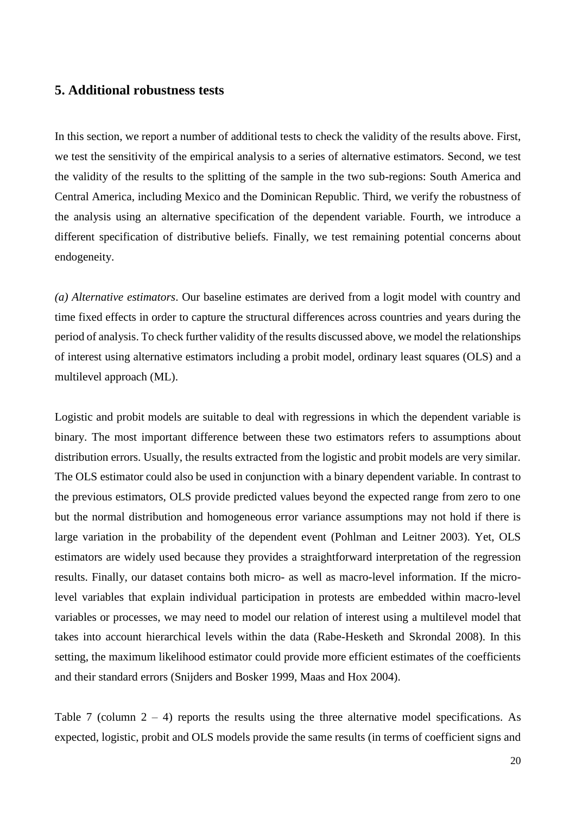## **5. Additional robustness tests**

In this section, we report a number of additional tests to check the validity of the results above. First, we test the sensitivity of the empirical analysis to a series of alternative estimators. Second, we test the validity of the results to the splitting of the sample in the two sub-regions: South America and Central America, including Mexico and the Dominican Republic. Third, we verify the robustness of the analysis using an alternative specification of the dependent variable. Fourth, we introduce a different specification of distributive beliefs. Finally, we test remaining potential concerns about endogeneity.

*(a) Alternative estimators*. Our baseline estimates are derived from a logit model with country and time fixed effects in order to capture the structural differences across countries and years during the period of analysis. To check further validity of the results discussed above, we model the relationships of interest using alternative estimators including a probit model, ordinary least squares (OLS) and a multilevel approach (ML).

Logistic and probit models are suitable to deal with regressions in which the dependent variable is binary. The most important difference between these two estimators refers to assumptions about distribution errors. Usually, the results extracted from the logistic and probit models are very similar. The OLS estimator could also be used in conjunction with a binary dependent variable. In contrast to the previous estimators, OLS provide predicted values beyond the expected range from zero to one but the normal distribution and homogeneous error variance assumptions may not hold if there is large variation in the probability of the dependent event (Pohlman and Leitner 2003). Yet, OLS estimators are widely used because they provides a straightforward interpretation of the regression results. Finally, our dataset contains both micro- as well as macro-level information. If the microlevel variables that explain individual participation in protests are embedded within macro-level variables or processes, we may need to model our relation of interest using a multilevel model that takes into account hierarchical levels within the data (Rabe-Hesketh and Skrondal 2008). In this setting, the maximum likelihood estimator could provide more efficient estimates of the coefficients and their standard errors (Snijders and Bosker 1999, Maas and Hox 2004).

Table 7 (column  $2 - 4$ ) reports the results using the three alternative model specifications. As expected, logistic, probit and OLS models provide the same results (in terms of coefficient signs and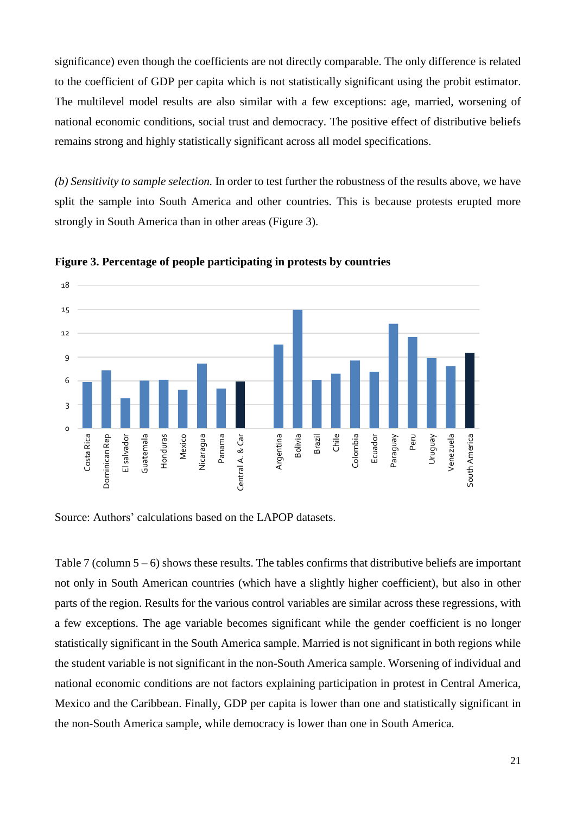significance) even though the coefficients are not directly comparable. The only difference is related to the coefficient of GDP per capita which is not statistically significant using the probit estimator. The multilevel model results are also similar with a few exceptions: age, married, worsening of national economic conditions, social trust and democracy. The positive effect of distributive beliefs remains strong and highly statistically significant across all model specifications.

*(b) Sensitivity to sample selection.* In order to test further the robustness of the results above, we have split the sample into South America and other countries. This is because protests erupted more strongly in South America than in other areas (Figure 3).



**Figure 3. Percentage of people participating in protests by countries**

Source: Authors' calculations based on the LAPOP datasets.

Table 7 (column  $5 - 6$ ) shows these results. The tables confirms that distributive beliefs are important not only in South American countries (which have a slightly higher coefficient), but also in other parts of the region. Results for the various control variables are similar across these regressions, with a few exceptions. The age variable becomes significant while the gender coefficient is no longer statistically significant in the South America sample. Married is not significant in both regions while the student variable is not significant in the non-South America sample. Worsening of individual and national economic conditions are not factors explaining participation in protest in Central America, Mexico and the Caribbean. Finally, GDP per capita is lower than one and statistically significant in the non-South America sample, while democracy is lower than one in South America.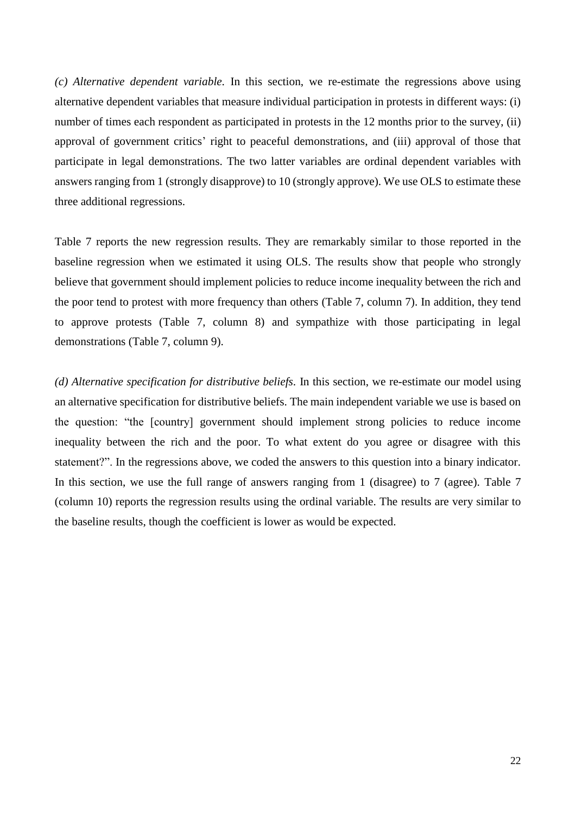*(c) Alternative dependent variable.* In this section, we re-estimate the regressions above using alternative dependent variables that measure individual participation in protests in different ways: (i) number of times each respondent as participated in protests in the 12 months prior to the survey, (ii) approval of government critics' right to peaceful demonstrations, and (iii) approval of those that participate in legal demonstrations. The two latter variables are ordinal dependent variables with answers ranging from 1 (strongly disapprove) to 10 (strongly approve). We use OLS to estimate these three additional regressions.

Table 7 reports the new regression results. They are remarkably similar to those reported in the baseline regression when we estimated it using OLS. The results show that people who strongly believe that government should implement policies to reduce income inequality between the rich and the poor tend to protest with more frequency than others (Table 7, column 7). In addition, they tend to approve protests (Table 7, column 8) and sympathize with those participating in legal demonstrations (Table 7, column 9).

*(d) Alternative specification for distributive beliefs.* In this section, we re-estimate our model using an alternative specification for distributive beliefs. The main independent variable we use is based on the question: "the [country] government should implement strong policies to reduce income inequality between the rich and the poor. To what extent do you agree or disagree with this statement?". In the regressions above, we coded the answers to this question into a binary indicator. In this section, we use the full range of answers ranging from 1 (disagree) to 7 (agree). Table 7 (column 10) reports the regression results using the ordinal variable. The results are very similar to the baseline results, though the coefficient is lower as would be expected.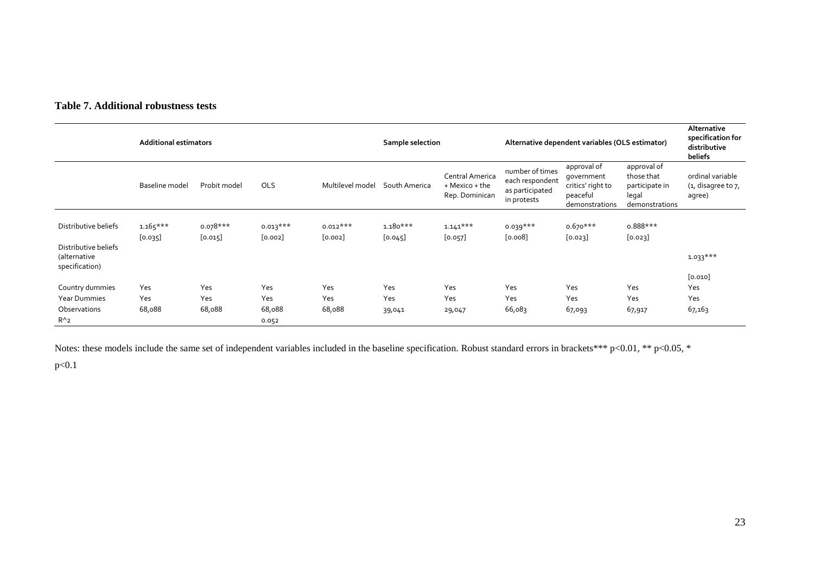#### **Table 7. Additional robustness tests**

|                                              | <b>Additional estimators</b> |                       |                       | Sample selection      |                       | Alternative dependent variables (OLS estimator)     |                                                                      |                                                                              | Alternative<br>specification for<br>distributive<br>beliefs            |                                                  |
|----------------------------------------------|------------------------------|-----------------------|-----------------------|-----------------------|-----------------------|-----------------------------------------------------|----------------------------------------------------------------------|------------------------------------------------------------------------------|------------------------------------------------------------------------|--------------------------------------------------|
|                                              | Baseline model               | Probit model          | <b>OLS</b>            | Multilevel model      | South America         | Central America<br>+ Mexico + the<br>Rep. Dominican | number of times<br>each respondent<br>as participated<br>in protests | approval of<br>qovernment<br>critics' right to<br>peaceful<br>demonstrations | approval of<br>those that<br>participate in<br>legal<br>demonstrations | ordinal variable<br>(1, disagree to 7,<br>agree) |
| Distributive beliefs<br>Distributive beliefs | $1.165***$<br>[0.035]        | $0.078***$<br>[0.015] | $0.013***$<br>[0.002] | $0.012***$<br>[0.002] | $1.180***$<br>[0.045] | $1.141***$<br>$[0.057]$                             | $0.039***$<br>[0.008]                                                | $0.670***$<br>[0.023]                                                        | $0.888***$<br>$[0.023]$                                                |                                                  |
| (alternative<br>specification)               |                              |                       |                       |                       |                       |                                                     |                                                                      |                                                                              |                                                                        | $1.033***$                                       |
| Country dummies                              | Yes                          | Yes                   | Yes                   | Yes                   | Yes                   | Yes                                                 | Yes                                                                  | Yes                                                                          | Yes                                                                    | [0.010]<br>Yes                                   |
| <b>Year Dummies</b>                          | Yes                          | Yes                   | Yes                   | Yes                   | Yes                   | Yes                                                 | Yes                                                                  | Yes                                                                          | Yes                                                                    | Yes                                              |
| Observations<br>$R^{\wedge}2$                | 68,088                       | 68,088                | 68,088<br>0.052       | 68,088                | 39,041                | 29,047                                              | 66,083                                                               | 67,093                                                                       | 67,917                                                                 | 67,163                                           |

Notes: these models include the same set of independent variables included in the baseline specification. Robust standard errors in brackets\*\*\* p<0.01, \*\* p<0.05, \*

p<0.1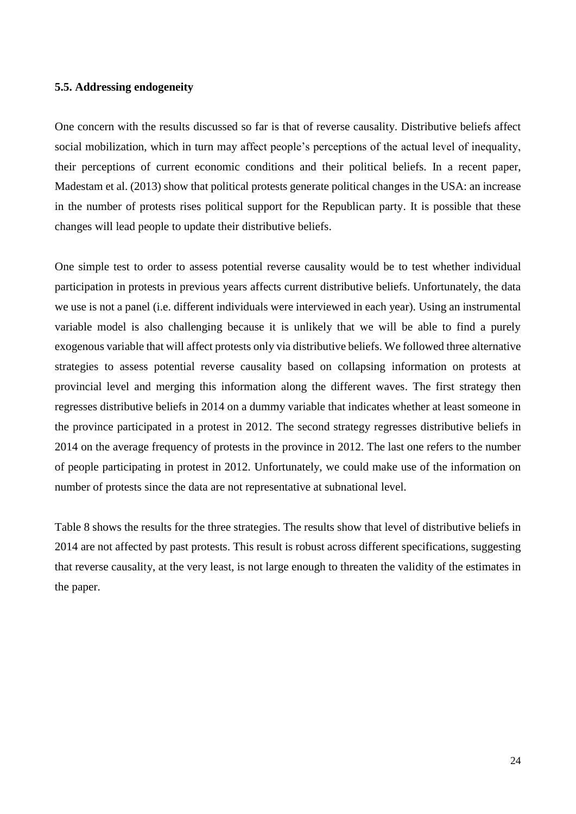#### **5.5. Addressing endogeneity**

One concern with the results discussed so far is that of reverse causality. Distributive beliefs affect social mobilization, which in turn may affect people's perceptions of the actual level of inequality, their perceptions of current economic conditions and their political beliefs. In a recent paper, Madestam et al. (2013) show that political protests generate political changes in the USA: an increase in the number of protests rises political support for the Republican party. It is possible that these changes will lead people to update their distributive beliefs.

One simple test to order to assess potential reverse causality would be to test whether individual participation in protests in previous years affects current distributive beliefs. Unfortunately, the data we use is not a panel (i.e. different individuals were interviewed in each year). Using an instrumental variable model is also challenging because it is unlikely that we will be able to find a purely exogenous variable that will affect protests only via distributive beliefs. We followed three alternative strategies to assess potential reverse causality based on collapsing information on protests at provincial level and merging this information along the different waves. The first strategy then regresses distributive beliefs in 2014 on a dummy variable that indicates whether at least someone in the province participated in a protest in 2012. The second strategy regresses distributive beliefs in 2014 on the average frequency of protests in the province in 2012. The last one refers to the number of people participating in protest in 2012. Unfortunately, we could make use of the information on number of protests since the data are not representative at subnational level.

Table 8 shows the results for the three strategies. The results show that level of distributive beliefs in 2014 are not affected by past protests. This result is robust across different specifications, suggesting that reverse causality, at the very least, is not large enough to threaten the validity of the estimates in the paper.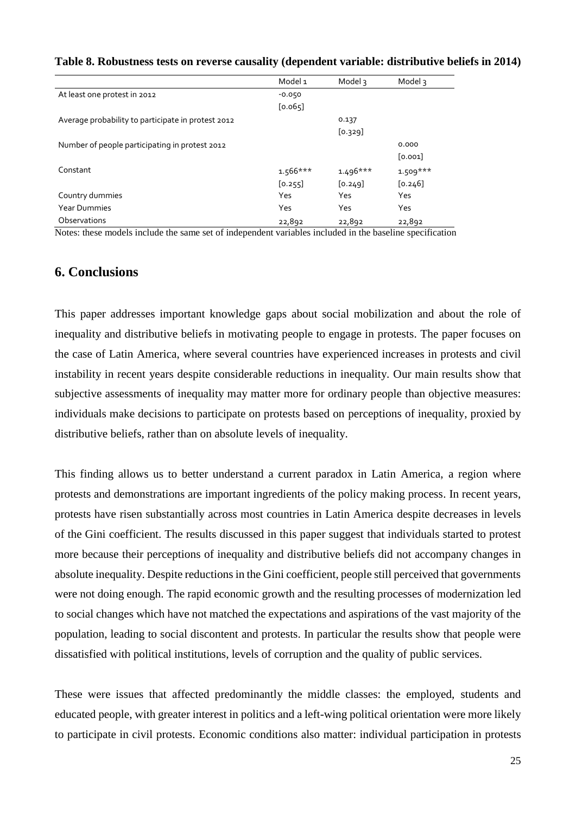#### **Table 8. Robustness tests on reverse causality (dependent variable: distributive beliefs in 2014)**

|                                                    | Model 1    | Model 3    | Model 3    |
|----------------------------------------------------|------------|------------|------------|
| At least one protest in 2012                       | $-0.050$   |            |            |
|                                                    | [0.065]    |            |            |
| Average probability to participate in protest 2012 |            | 0.137      |            |
|                                                    |            | [0.329]    |            |
| Number of people participating in protest 2012     |            |            | 0.000      |
|                                                    |            |            | [0.001]    |
| Constant                                           | $1.566***$ | $1.496***$ | $1.509***$ |
|                                                    | [0.255]    | [0.249]    | [0.246]    |
| Country dummies                                    | Yes        | Yes        | Yes        |
| <b>Year Dummies</b>                                | Yes        | Yes        | Yes        |
| Observations                                       | 22,892     | 22,892     | 22,892     |

Notes: these models include the same set of independent variables included in the baseline specification

## **6. Conclusions**

This paper addresses important knowledge gaps about social mobilization and about the role of inequality and distributive beliefs in motivating people to engage in protests. The paper focuses on the case of Latin America, where several countries have experienced increases in protests and civil instability in recent years despite considerable reductions in inequality. Our main results show that subjective assessments of inequality may matter more for ordinary people than objective measures: individuals make decisions to participate on protests based on perceptions of inequality, proxied by distributive beliefs, rather than on absolute levels of inequality.

This finding allows us to better understand a current paradox in Latin America, a region where protests and demonstrations are important ingredients of the policy making process. In recent years, protests have risen substantially across most countries in Latin America despite decreases in levels of the Gini coefficient. The results discussed in this paper suggest that individuals started to protest more because their perceptions of inequality and distributive beliefs did not accompany changes in absolute inequality. Despite reductions in the Gini coefficient, people still perceived that governments were not doing enough. The rapid economic growth and the resulting processes of modernization led to social changes which have not matched the expectations and aspirations of the vast majority of the population, leading to social discontent and protests. In particular the results show that people were dissatisfied with political institutions, levels of corruption and the quality of public services.

These were issues that affected predominantly the middle classes: the employed, students and educated people, with greater interest in politics and a left-wing political orientation were more likely to participate in civil protests. Economic conditions also matter: individual participation in protests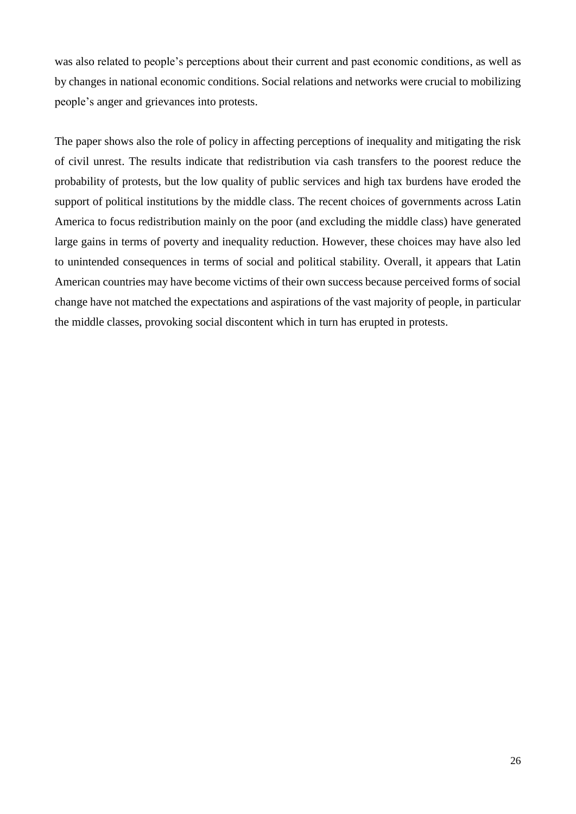was also related to people's perceptions about their current and past economic conditions, as well as by changes in national economic conditions. Social relations and networks were crucial to mobilizing people's anger and grievances into protests.

The paper shows also the role of policy in affecting perceptions of inequality and mitigating the risk of civil unrest. The results indicate that redistribution via cash transfers to the poorest reduce the probability of protests, but the low quality of public services and high tax burdens have eroded the support of political institutions by the middle class. The recent choices of governments across Latin America to focus redistribution mainly on the poor (and excluding the middle class) have generated large gains in terms of poverty and inequality reduction. However, these choices may have also led to unintended consequences in terms of social and political stability. Overall, it appears that Latin American countries may have become victims of their own success because perceived forms of social change have not matched the expectations and aspirations of the vast majority of people, in particular the middle classes, provoking social discontent which in turn has erupted in protests.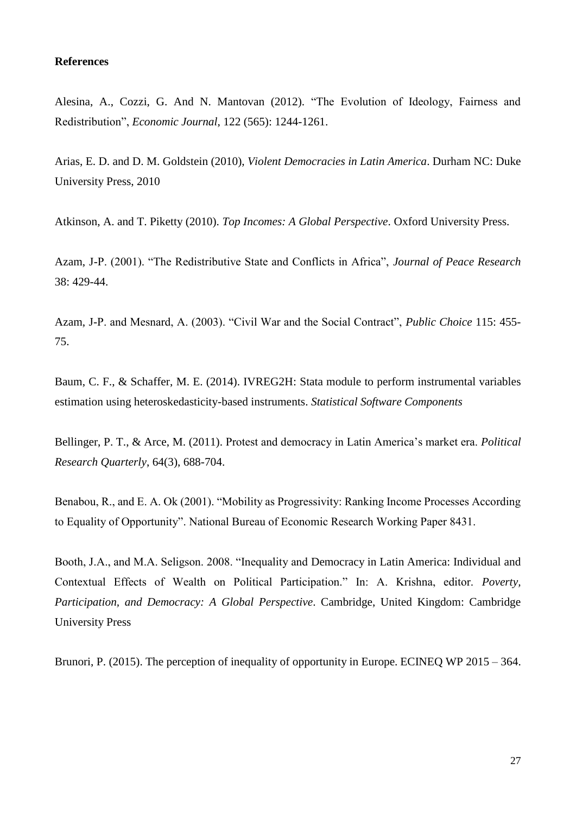#### **References**

Alesina, A., Cozzi, G. And N. Mantovan (2012). "The Evolution of Ideology, Fairness and Redistribution", *Economic Journal*, 122 (565): 1244-1261.

Arias, E. D. and D. M. Goldstein (2010), *Violent Democracies in Latin America*. Durham NC: Duke University Press, 2010

Atkinson, A. and T. Piketty (2010). *Top Incomes: A Global Perspective*. Oxford University Press.

Azam, J-P. (2001). "The Redistributive State and Conflicts in Africa", *Journal of Peace Research* 38: 429-44.

Azam, J-P. and Mesnard, A. (2003). "Civil War and the Social Contract", *Public Choice* 115: 455- 75.

Baum, C. F., & Schaffer, M. E. (2014). IVREG2H: Stata module to perform instrumental variables estimation using heteroskedasticity-based instruments. *Statistical Software Components*

Bellinger, P. T., & Arce, M. (2011). Protest and democracy in Latin America's market era. *Political Research Quarterly*, 64(3), 688-704.

Benabou, R., and E. A. Ok (2001). "Mobility as Progressivity: Ranking Income Processes According to Equality of Opportunity". National Bureau of Economic Research Working Paper 8431.

Booth, J.A., and M.A. Seligson. 2008. "Inequality and Democracy in Latin America: Individual and Contextual Effects of Wealth on Political Participation." In: A. Krishna, editor. *Poverty, Participation, and Democracy: A Global Perspective*. Cambridge, United Kingdom: Cambridge University Press

Brunori, P. (2015). The perception of inequality of opportunity in Europe. ECINEQ WP 2015 – 364.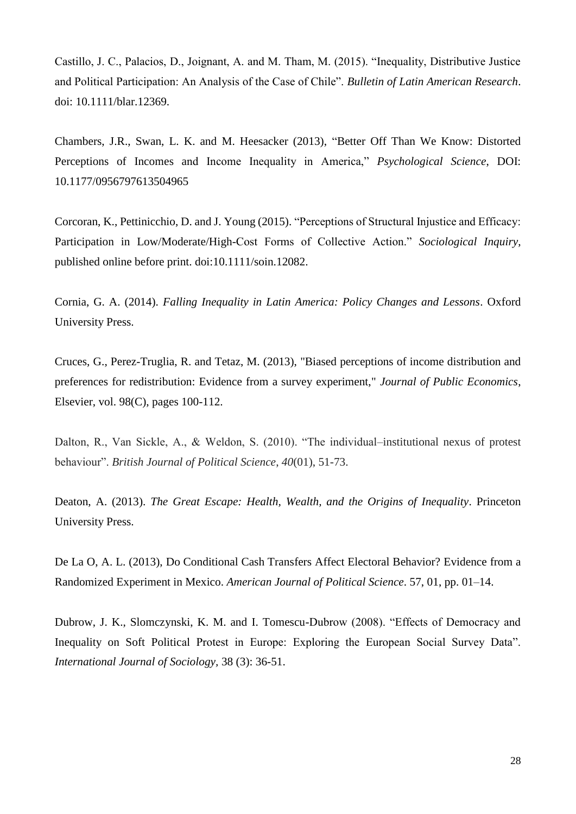Castillo, J. C., Palacios, D., Joignant, A. and M. Tham, M. (2015). "Inequality, Distributive Justice and Political Participation: An Analysis of the Case of Chile". *Bulletin of Latin American Research*. doi: 10.1111/blar.12369.

Chambers, J.R., Swan, L. K. and M. Heesacker (2013), "Better Off Than We Know: Distorted Perceptions of Incomes and Income Inequality in America," *Psychological Science*, DOI: 10.1177/0956797613504965

Corcoran, K., Pettinicchio, D. and J. Young (2015). "Perceptions of Structural Injustice and Efficacy: Participation in Low/Moderate/High-Cost Forms of Collective Action." *Sociological Inquiry*, published online before print. doi:10.1111/soin.12082.

Cornia, G. A. (2014). *Falling Inequality in Latin America: Policy Changes and Lessons*. Oxford University Press.

Cruces, G., Perez-Truglia, R. and Tetaz, M. (2013), "Biased perceptions of income distribution and preferences for redistribution: Evidence from a survey experiment," *Journal of Public Economics*, Elsevier, vol. 98(C), pages 100-112.

Dalton, R., Van Sickle, A., & Weldon, S. (2010). "The individual–institutional nexus of protest behaviour". *British Journal of Political Science*, *40*(01), 51-73.

Deaton, A. (2013). *The Great Escape: Health, Wealth, and the Origins of Inequality*. Princeton University Press.

De La O, A. L. (2013), Do Conditional Cash Transfers Affect Electoral Behavior? Evidence from a Randomized Experiment in Mexico. *American Journal of Political Science*. 57, 01, pp. 01–14.

Dubrow, J. K., Slomczynski, K. M. and I. Tomescu-Dubrow (2008). "Effects of Democracy and Inequality on Soft Political Protest in Europe: Exploring the European Social Survey Data". *International Journal of Sociology,* 38 (3): 36-51.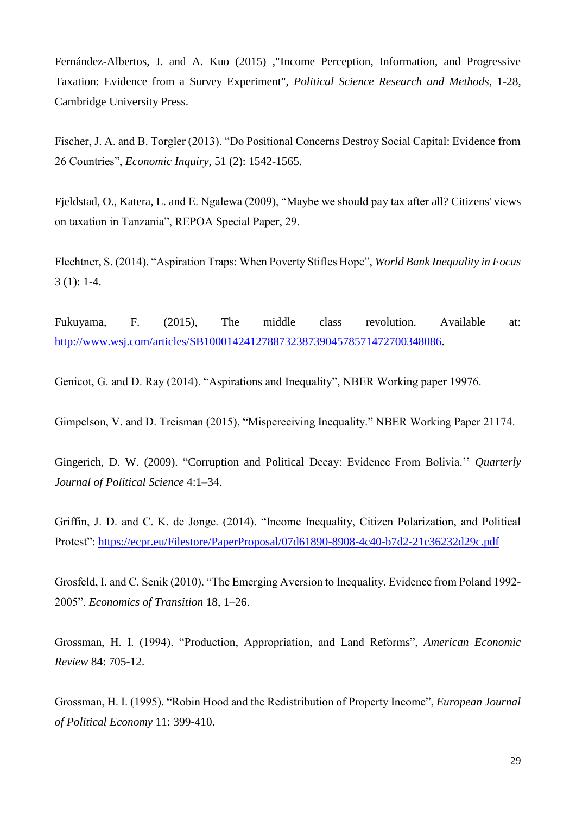Fernández-Albertos, J. and A. Kuo (2015) ,"Income Perception, Information, and Progressive Taxation: Evidence from a Survey Experiment", *Political Science Research and Methods*, 1-28, Cambridge University Press.

Fischer, J. A. and B. Torgler (2013). "Do Positional Concerns Destroy Social Capital: Evidence from 26 Countries", *Economic Inquiry*, 51 (2): 1542-1565.

Fjeldstad, O., Katera, L. and E. Ngalewa (2009), "Maybe we should pay tax after all? Citizens' views on taxation in Tanzania", REPOA Special Paper, 29.

Flechtner, S. (2014). "Aspiration Traps: When Poverty Stifles Hope", *World Bank Inequality in Focus* 3 (1): 1-4.

Fukuyama, F. (2015), The middle class revolution. Available at: [http://www.wsj.com/articles/SB10001424127887323873904578571472700348086.](http://www.wsj.com/articles/SB10001424127887323873904578571472700348086)

Genicot, G. and D. Ray (2014). "Aspirations and Inequality", NBER Working paper 19976.

Gimpelson, V. and D. Treisman (2015), "Misperceiving Inequality." NBER Working Paper 21174.

Gingerich, D. W. (2009). "Corruption and Political Decay: Evidence From Bolivia.'' *Quarterly Journal of Political Science* 4:1–34.

Griffin, J. D. and C. K. de Jonge. (2014). "Income Inequality, Citizen Polarization, and Political Protest":<https://ecpr.eu/Filestore/PaperProposal/07d61890-8908-4c40-b7d2-21c36232d29c.pdf>

Grosfeld, I. and C. Senik (2010). "The Emerging Aversion to Inequality. Evidence from Poland 1992- 2005". *Economics of Transition* 18, 1–26.

Grossman, H. I. (1994). "Production, Appropriation, and Land Reforms", *American Economic Review* 84: 705-12.

Grossman, H. I. (1995). "Robin Hood and the Redistribution of Property Income", *European Journal of Political Economy* 11: 399-410.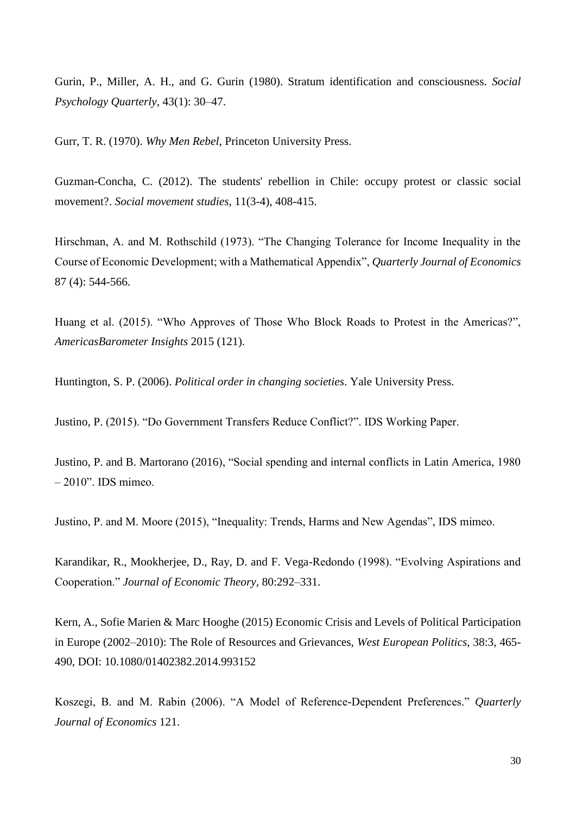Gurin, P., Miller, A. H., and G. Gurin (1980). Stratum identification and consciousness. *Social Psychology Quarterly*, 43(1): 30–47.

Gurr, T. R. (1970). *Why Men Rebel*, Princeton University Press.

Guzman-Concha, C. (2012). The students' rebellion in Chile: occupy protest or classic social movement?. *Social movement studies*, 11(3-4), 408-415.

Hirschman, A. and M. Rothschild (1973). "The Changing Tolerance for Income Inequality in the Course of Economic Development; with a Mathematical Appendix", *Quarterly Journal of Economics* 87 (4): 544-566.

Huang et al. (2015). "Who Approves of Those Who Block Roads to Protest in the Americas?", *AmericasBarometer Insights* 2015 (121).

Huntington, S. P. (2006). *Political order in changing societies*. Yale University Press.

Justino, P. (2015). "Do Government Transfers Reduce Conflict?". IDS Working Paper.

Justino, P. and B. Martorano (2016), "Social spending and internal conflicts in Latin America, 1980 – 2010". IDS mimeo.

Justino, P. and M. Moore (2015), "Inequality: Trends, Harms and New Agendas", IDS mimeo.

Karandikar, R., Mookherjee, D., Ray, D. and F. Vega-Redondo (1998). "Evolving Aspirations and Cooperation." *Journal of Economic Theory,* 80:292–331.

Kern, A., Sofie Marien & Marc Hooghe (2015) Economic Crisis and Levels of Political Participation in Europe (2002–2010): The Role of Resources and Grievances, *West European Politics*, 38:3, 465- 490, DOI: 10.1080/01402382.2014.993152

Koszegi, B. and M. Rabin (2006). "A Model of Reference-Dependent Preferences." *Quarterly Journal of Economics* 121.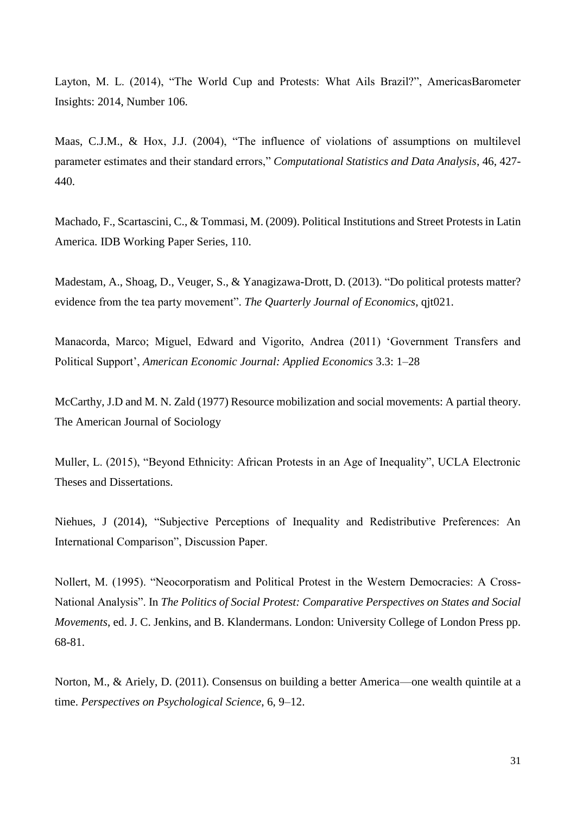Layton, M. L. (2014), "The World Cup and Protests: What Ails Brazil?", AmericasBarometer Insights: 2014, Number 106.

Maas, C.J.M., & Hox, J.J. (2004), "The influence of violations of assumptions on multilevel parameter estimates and their standard errors," *Computational Statistics and Data Analysis*, 46, 427- 440.

Machado, F., Scartascini, C., & Tommasi, M. (2009). Political Institutions and Street Protests in Latin America. IDB Working Paper Series, 110.

Madestam, A., Shoag, D., Veuger, S., & Yanagizawa-Drott, D. (2013). "Do political protests matter? evidence from the tea party movement". *The Quarterly Journal of Economics*, qjt021.

Manacorda, Marco; Miguel, Edward and Vigorito, Andrea (2011) 'Government Transfers and Political Support', *American Economic Journal: Applied Economics* 3.3: 1–28

McCarthy, J.D and M. N. Zald (1977) Resource mobilization and social movements: A partial theory. The American Journal of Sociology

Muller, L. (2015), "Beyond Ethnicity: African Protests in an Age of Inequality", UCLA Electronic Theses and Dissertations.

Niehues, J (2014), "Subjective Perceptions of Inequality and Redistributive Preferences: An International Comparison", Discussion Paper.

Nollert, M. (1995). "Neocorporatism and Political Protest in the Western Democracies: A Cross-National Analysis". In *The Politics of Social Protest: Comparative Perspectives on States and Social Movements*, ed. J. C. Jenkins, and B. Klandermans. London: University College of London Press pp. 68-81.

Norton, M., & Ariely, D. (2011). Consensus on building a better America—one wealth quintile at a time. *Perspectives on Psychological Science*, 6, 9–12.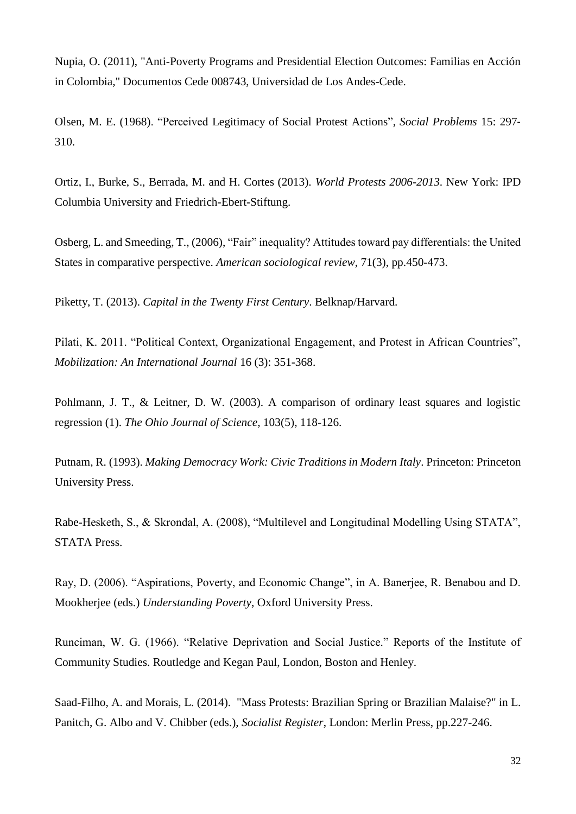Nupia, O. (2011), "Anti-Poverty Programs and Presidential Election Outcomes: Familias en Acción in Colombia," Documentos Cede 008743, Universidad de Los Andes-Cede.

Olsen, M. E. (1968). "Perceived Legitimacy of Social Protest Actions", *Social Problems* 15: 297‐ 310.

Ortiz, I., Burke, S., Berrada, M. and H. Cortes (2013). *World Protests 2006-2013*. New York: IPD Columbia University and Friedrich-Ebert-Stiftung.

Osberg, L. and Smeeding, T., (2006), "Fair" inequality? Attitudes toward pay differentials: the United States in comparative perspective. *American sociological review*, 71(3), pp.450-473.

Piketty, T. (2013). *Capital in the Twenty First Century*. Belknap/Harvard.

Pilati, K. 2011. "Political Context, Organizational Engagement, and Protest in African Countries", *Mobilization: An International Journal* 16 (3): 351-368.

Pohlmann, J. T., & Leitner, D. W. (2003). A comparison of ordinary least squares and logistic regression (1). *The Ohio Journal of Science*, 103(5), 118-126.

Putnam, R. (1993). *Making Democracy Work: Civic Traditions in Modern Italy*. Princeton: Princeton University Press.

Rabe-Hesketh, S., & Skrondal, A. (2008), "Multilevel and Longitudinal Modelling Using STATA", STATA Press.

Ray, D. (2006). "Aspirations, Poverty, and Economic Change", in A. Banerjee, R. Benabou and D. Mookherjee (eds.) *Understanding Poverty*, Oxford University Press.

Runciman, W. G. (1966). "Relative Deprivation and Social Justice." Reports of the Institute of Community Studies. Routledge and Kegan Paul, London, Boston and Henley.

Saad-Filho, A. and Morais, L. (2014). "Mass Protests: Brazilian Spring or Brazilian Malaise?" in L. Panitch, G. Albo and V. Chibber (eds.), *Socialist Register*, London: Merlin Press, pp.227-246.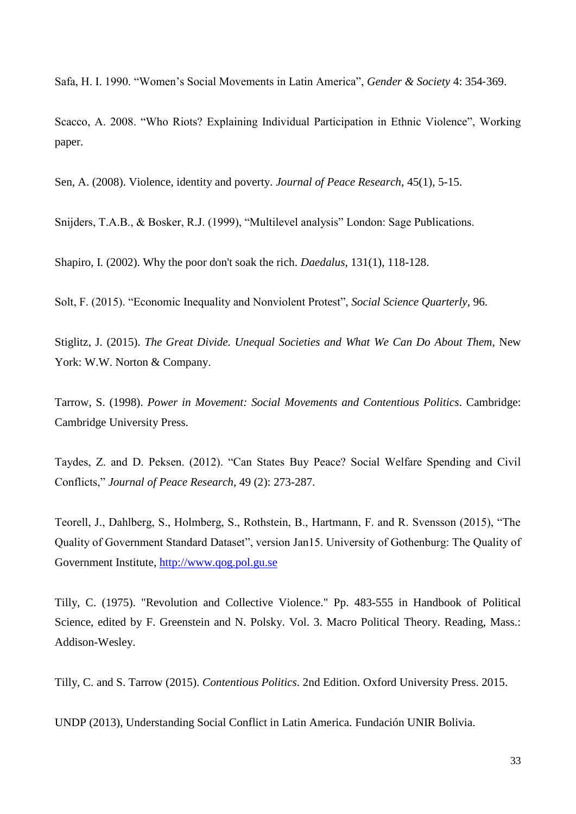Safa, H. I. 1990. "Women's Social Movements in Latin America", *Gender & Society* 4: 354‐369.

Scacco, A. 2008. "Who Riots? Explaining Individual Participation in Ethnic Violence", Working paper.

Sen, A. (2008). Violence, identity and poverty. *Journal of Peace Research*, 45(1), 5-15.

Snijders, T.A.B., & Bosker, R.J. (1999), "Multilevel analysis" London: Sage Publications.

Shapiro, I. (2002). Why the poor don't soak the rich. *Daedalus*, 131(1), 118-128.

Solt, F. (2015). "Economic Inequality and Nonviolent Protest", *Social Science Quarterly*, 96.

Stiglitz, J. (2015). *The Great Divide. Unequal Societies and What We Can Do About Them*, New York: W.W. Norton & Company.

Tarrow, S. (1998). *Power in Movement: Social Movements and Contentious Politics*. Cambridge: Cambridge University Press.

Taydes, Z. and D. Peksen. (2012). "Can States Buy Peace? Social Welfare Spending and Civil Conflicts," *Journal of Peace Research*, 49 (2): 273-287.

Teorell, J., Dahlberg, S., Holmberg, S., Rothstein, B., Hartmann, F. and R. Svensson (2015), "The Quality of Government Standard Dataset", version Jan15. University of Gothenburg: The Quality of Government Institute, [http://www.qog.pol.gu.se](http://www.qog.pol.gu.se/)

Tilly, C. (1975). "Revolution and Collective Violence." Pp. 483-555 in Handbook of Political Science, edited by F. Greenstein and N. Polsky. Vol. 3. Macro Political Theory. Reading, Mass.: Addison-Wesley.

Tilly, C. and S. Tarrow (2015). *Contentious Politics*. 2nd Edition. Oxford University Press. 2015.

UNDP (2013), Understanding Social Conflict in Latin America. Fundación UNIR Bolivia.